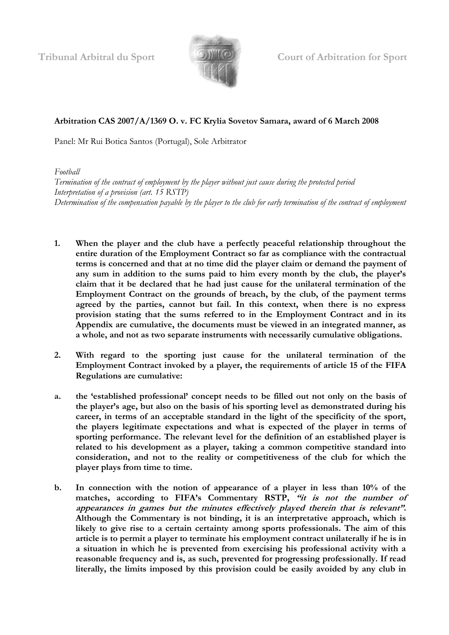

**Tribunal Arbitral du Sport Court of Arbitration for Sport**

# **Arbitration CAS 2007/A/1369 O. v. FC Krylia Sovetov Samara, award of 6 March 2008**

Panel: Mr Rui Botica Santos (Portugal), Sole Arbitrator

*Football*

*Termination of the contract of employment by the player without just cause during the protected period Interpretation of a provision (art. 15 RSTP) Determination of the compensation payable by the player to the club for early termination of the contract of employment*

- **1. When the player and the club have a perfectly peaceful relationship throughout the entire duration of the Employment Contract so far as compliance with the contractual terms is concerned and that at no time did the player claim or demand the payment of any sum in addition to the sums paid to him every month by the club, the player's claim that it be declared that he had just cause for the unilateral termination of the Employment Contract on the grounds of breach, by the club, of the payment terms agreed by the parties, cannot but fail. In this context, when there is no express provision stating that the sums referred to in the Employment Contract and in its Appendix are cumulative, the documents must be viewed in an integrated manner, as a whole, and not as two separate instruments with necessarily cumulative obligations.**
- **2. With regard to the sporting just cause for the unilateral termination of the Employment Contract invoked by a player, the requirements of article 15 of the FIFA Regulations are cumulative:**
- **a. the 'established professional' concept needs to be filled out not only on the basis of the player's age, but also on the basis of his sporting level as demonstrated during his career, in terms of an acceptable standard in the light of the specificity of the sport, the players legitimate expectations and what is expected of the player in terms of sporting performance. The relevant level for the definition of an established player is related to his development as a player, taking a common competitive standard into consideration, and not to the reality or competitiveness of the club for which the player plays from time to time.**
- **b. In connection with the notion of appearance of a player in less than 10% of the matches, according to FIFA's Commentary RSTP, "it is not the number of appearances in games but the minutes effectively played therein that is relevant". Although the Commentary is not binding, it is an interpretative approach, which is likely to give rise to a certain certainty among sports professionals. The aim of this article is to permit a player to terminate his employment contract unilaterally if he is in a situation in which he is prevented from exercising his professional activity with a reasonable frequency and is, as such, prevented for progressing professionally. If read literally, the limits imposed by this provision could be easily avoided by any club in**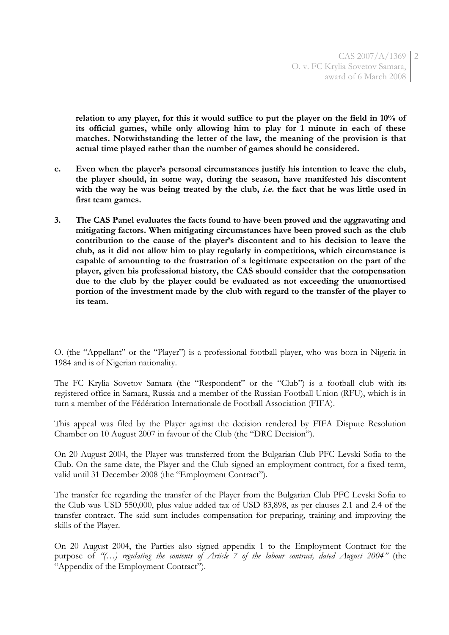**relation to any player, for this it would suffice to put the player on the field in 10% of its official games, while only allowing him to play for 1 minute in each of these matches. Notwithstanding the letter of the law, the meaning of the provision is that actual time played rather than the number of games should be considered.** 

- **c. Even when the player's personal circumstances justify his intention to leave the club, the player should, in some way, during the season, have manifested his discontent with the way he was being treated by the club, i.e. the fact that he was little used in first team games.**
- **3. The CAS Panel evaluates the facts found to have been proved and the aggravating and mitigating factors. When mitigating circumstances have been proved such as the club contribution to the cause of the player's discontent and to his decision to leave the club, as it did not allow him to play regularly in competitions, which circumstance is capable of amounting to the frustration of a legitimate expectation on the part of the player, given his professional history, the CAS should consider that the compensation due to the club by the player could be evaluated as not exceeding the unamortised portion of the investment made by the club with regard to the transfer of the player to its team.**

O. (the "Appellant" or the "Player") is a professional football player, who was born in Nigeria in 1984 and is of Nigerian nationality.

The FC Krylia Sovetov Samara (the "Respondent" or the "Club") is a football club with its registered office in Samara, Russia and a member of the Russian Football Union (RFU), which is in turn a member of the Fédération Internationale de Football Association (FIFA).

This appeal was filed by the Player against the decision rendered by FIFA Dispute Resolution Chamber on 10 August 2007 in favour of the Club (the "DRC Decision").

On 20 August 2004, the Player was transferred from the Bulgarian Club PFC Levski Sofia to the Club. On the same date, the Player and the Club signed an employment contract, for a fixed term, valid until 31 December 2008 (the "Employment Contract").

The transfer fee regarding the transfer of the Player from the Bulgarian Club PFC Levski Sofia to the Club was USD 550,000, plus value added tax of USD 83,898, as per clauses 2.1 and 2.4 of the transfer contract. The said sum includes compensation for preparing, training and improving the skills of the Player.

On 20 August 2004, the Parties also signed appendix 1 to the Employment Contract for the purpose of *"(…) regulating the contents of Article 7 of the labour contract, dated August 2004"* (the "Appendix of the Employment Contract").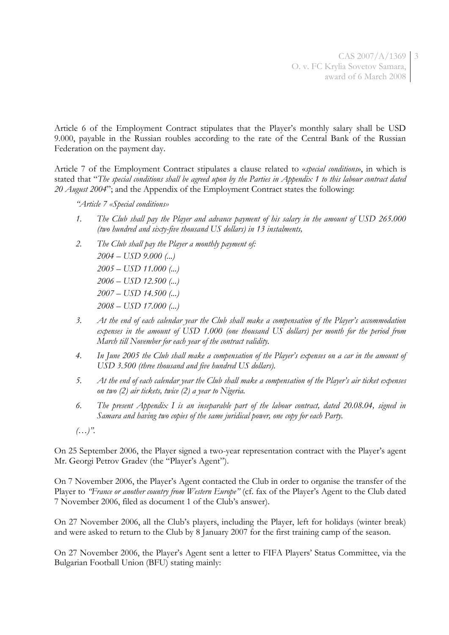CAS 2007/A/1369 3 O. v. FC Krylia Sovetov Samara, award of 6 March 2008

Article 6 of the Employment Contract stipulates that the Player's monthly salary shall be USD 9.000, payable in the Russian roubles according to the rate of the Central Bank of the Russian Federation on the payment day.

Article 7 of the Employment Contract stipulates a clause related to «*special conditions*», in which is stated that "*The special conditions shall be agreed upon by the Parties in Appendix 1 to this labour contract dated 20 August 2004*"; and the Appendix of the Employment Contract states the following:

*"Article 7 «Special conditions»*

- *1. The Club shall pay the Player and advance payment of his salary in the amount of USD 265.000 (two hundred and sixty-five thousand US dollars) in 13 instalments,*
- *2. The Club shall pay the Player a monthly payment of: 2004 – USD 9.000 (...) 2005 – USD 11.000 (...) 2006 – USD 12.500 (...) 2007 – USD 14.500 (...) 2008 – USD 17.000 (...)*
- *3. At the end of each calendar year the Club shall make a compensation of the Player's accommodation expenses in the amount of USD 1.000 (one thousand US dollars) per month for the period from March till November for each year of the contract validity.*
- *4. In June 2005 the Club shall make a compensation of the Player's expenses on a car in the amount of USD 3.500 (three thousand and five hundred US dollars).*
- *5. At the end of each calendar year the Club shall make a compensation of the Player's air ticket expenses on two (2) air tickets, twice (2) a year to Nigeria.*
- *6. The present Appendix I is an inseparable part of the labour contract, dated 20.08.04, signed in Samara and having two copies of the same juridical power, one copy for each Party.*
- *(…)".*

On 25 September 2006, the Player signed a two-year representation contract with the Player's agent Mr. Georgi Petrov Gradev (the "Player's Agent").

On 7 November 2006, the Player's Agent contacted the Club in order to organise the transfer of the Player to *"France or another country from Western Europe"* (cf. fax of the Player's Agent to the Club dated 7 November 2006, filed as document 1 of the Club's answer).

On 27 November 2006, all the Club's players, including the Player, left for holidays (winter break) and were asked to return to the Club by 8 January 2007 for the first training camp of the season.

On 27 November 2006, the Player's Agent sent a letter to FIFA Players' Status Committee, via the Bulgarian Football Union (BFU) stating mainly: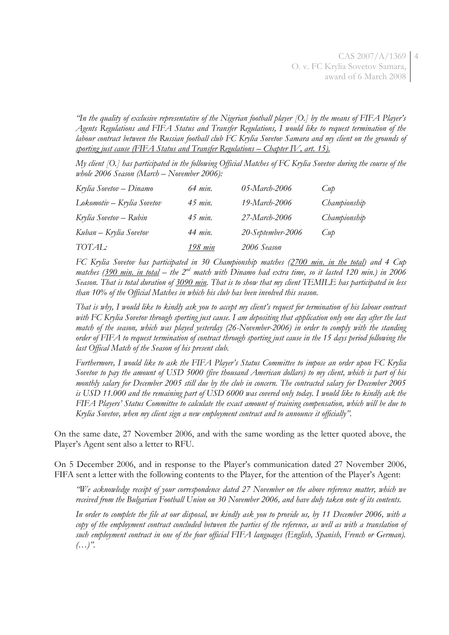*"In the quality of exclusive representative of the Nigerian football player [O.] by the means of FIFA Player's Agents Regulations and FIFA Status and Transfer Regulations, I would like to request termination of the labour contract between the Russian football club FC Krylia Sovetov Samara and my client on the grounds of sporting just cause (FIFA Status and Transfer Regulations – Chapter IV, art. 15).*

*My client [O.] has participated in the following Official Matches of FC Krylia Sovetov during the course of the whole 2006 Season (March – November 2006):*

| Krylia Sovetov – Dinamo    | 64 min.         | 05-March-2006     | $\mathcal{L}$ up |
|----------------------------|-----------------|-------------------|------------------|
| Lokomotiv – Krylia Sovetov | 45 min.         | 19-March-2006     | Championship     |
| Krylia Sovetov – Rubin     | 45 <i>min</i> . | 27-March-2006     | Championship     |
| Kuban – Krylia Sovetov     | 44 min.         | 20-September-2006 | $\mathcal{L}$ up |
| TOTAL:                     | 198 min         | 2006 Season       |                  |

*FC Krylia Sovetov has participated in 30 Championship matches (2700 min. in the total) and 4 Cup matches (390 min. in total – the 2nd match with Dinamo had extra time, so it lasted 120 min.) in 2006 Season. That is total duration of 3090 min. That is to show that my client TEMILE has participated in less than 10% of the Official Matches in which his club has been involved this season.*

*That is why, I would like to kindly ask you to accept my client's request for termination of his labour contract with FC Krylia Sovetov through sporting just cause. I am depositing that application only one day after the last match of the season, which was played yesterday (26-November-2006) in order to comply with the standing order of FIFA to request termination of contract through sporting just cause in the 15 days period following the last Offical Match of the Season of his present club.*

*Furthermore, I would like to ask the FIFA Player's Status Committee to impose an order upon FC Krylia Sovetov to pay the amount of USD 5000 (five thousand American dollars) to my client, which is part of his monthly salary for December 2005 still due by the club in concern. The contracted salary for December 2005 is USD 11.000 and the remaining part of USD 6000 was covered only today. I would like to kindly ask the FIFA Players' Status Committee to calculate the exact amount of training compensation, which will be due to Krylia Sovetov, when my client sign a new employment contract and to announce it officially".*

On the same date, 27 November 2006, and with the same wording as the letter quoted above, the Player's Agent sent also a letter to RFU.

On 5 December 2006, and in response to the Player's communication dated 27 November 2006, FIFA sent a letter with the following contents to the Player, for the attention of the Player's Agent:

*"We acknowledge receipt of your correspondence dated 27 November on the above reference matter, which we received from the Bulgarian Football Union on 30 November 2006, and have duly taken note of its contents.*

*In order to complete the file at our disposal, we kindly ask you to provide us, by 11 December 2006, with a*  copy of the employment contract concluded between the parties of the reference, as well as with a translation of *such employment contract in one of the four official FIFA languages (English, Spanish, French or German). (…)".*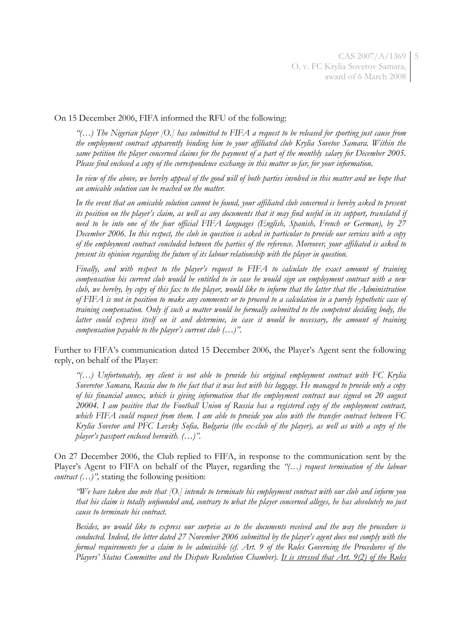#### On 15 December 2006, FIFA informed the RFU of the following:

*"(…) The Nigerian player [O.] has submitted to FIFA a request to be released for sporting just cause from the employment contract apparently binding him to your affiliated club Krylia Sovetov Samara. Within the same petition the player concerned claims for the payment of a part of the monthly salary for December 2005. Please find enclosed a copy of the correspondence exchange in this matter so far, for your information.*

*In view of the above, we hereby appeal of the good will of both parties involved in this matter and we hope that an amicable solution can be reached on the matter.*

*In the event that an amicable solution cannot be found, your affiliated club concerned is hereby asked to present its position on the player's claim, as well as any documents that it may find useful in its support, translated if need to be into one of the four official FIFA languages (English, Spanish, French or German), by 27 December 2006. In this respect, the club in question is asked in particular to provide our services with a copy of the employment contract concluded between the parties of the reference. Moreover, your affiliated is asked to present its opinion regarding the future of its labour relationship with the player in question.*

*Finally, and with respect to the player's request to FIFA to calculate the exact amount of training compensation his current club would be entitled to in case he would sign an employment contract with a new club, we hereby, by copy of this fax to the player, would like to inform that the latter that the Administration of FIFA is not in position to make any comments or to proceed to a calculation in a purely hypothetic case of training compensation. Only if such a matter would be formally submitted to the competent deciding body, the latter could express itself on it and determine, in case it would be necessary, the amount of training compensation payable to the player's current club (…)".*

Further to FIFA's communication dated 15 December 2006, the Player's Agent sent the following reply, on behalf of the Player:

*"(…) Unfortunately, my client is not able to provide his original employment contract with FC Krylia Soveretov Samara, Russia due to the fact that it was lost with his luggage. He managed to provide only a copy of his financial annex, which is giving information that the employment contract was signed on 20 august 20004. I am positive that the Football Union of Russia has a registered copy of the employment contract, which FIFA could request from them. I am able to provide you also with the transfer contract between FC Krylia Sovetov and PFC Levsky Sofia, Bulgaria (the ex-club of the player), as well as with a copy of the player's passport enclosed herewith. (…)".*

On 27 December 2006, the Club replied to FIFA, in response to the communication sent by the Player's Agent to FIFA on behalf of the Player, regarding the *"(…) request termination of the labour contract (…)",* stating the following position:

*"We have taken due note that [O.] intends to terminate his employment contract with our club and inform you that his claim is totally unfounded and, contrary to what the player concerned alleges, he has absolutely no just cause to terminate his contract.*

*Besides, we would like to express our surprise as to the documents received and the way the procedure is conducted. Indeed, the letter dated 27 November 2006 submitted by the player's agent does not comply with the formal requirements for a claim to be admissible (cf. Art. 9 of the Rules Governing the Procedures of the Players' Status Committee and the Dispute Resolution Chamber). It is stressed that Art. 9(2) of the Rules*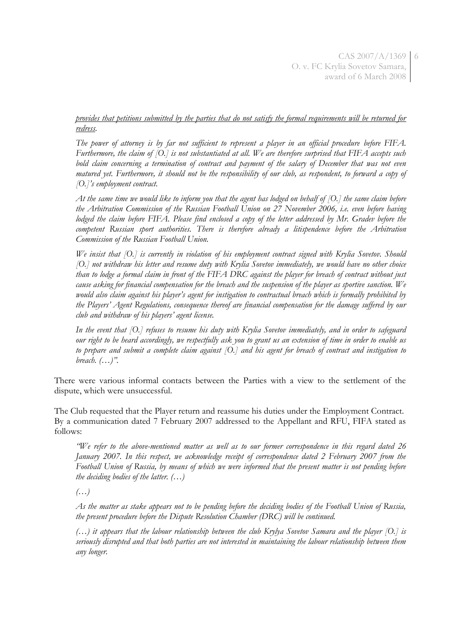## *provides that petitions submitted by the parties that do not satisfy the formal requirements will be returned for redress.*

*The power of attorney is by far not sufficient to represent a player in an official procedure before FIFA. Furthermore, the claim of [O.] is not substantiated at all. We are therefore surprised that FIFA accepts such bold claim concerning a termination of contract and payment of the salary of December that was not even matured yet. Furthermore, it should not be the responsibility of our club, as respondent, to forward a copy of [O.]'s employment contract.*

*At the same time we would like to inform you that the agent has lodged on behalf of [O.] the same claim before the Arbitration Commission of the Russian Football Union on 27 November 2006, i.e. even before having lodged the claim before FIFA. Please find enclosed a copy of the letter addressed by Mr. Gradev before the competent Russian sport authorities. There is therefore already a litispendence before the Arbitration Commission of the Russian Football Union.*

*We insist that [O.] is currently in violation of his employment contract signed with Krylia Sovetov. Should [O.] not withdraw his letter and resume duty with Krylia Sovetov immediately, we would have no other choice than to lodge a formal claim in front of the FIFA DRC against the player for breach of contract without just cause asking for financial compensation for the breach and the suspension of the player as sportive sanction. We would also claim against his player's agent for instigation to contractual breach which is formally prohibited by the Players' Agent Regulations, consequence thereof are financial compensation for the damage suffered by our club and withdraw of his players' agent license.*

*In the event that [O.] refuses to resume his duty with Krylia Sovetov immediately, and in order to safeguard our right to be heard accordingly, we respectfully ask you to grant us an extension of time in order to enable us to prepare and submit a complete claim against [O.] and his agent for breach of contract and instigation to breach. (…)".*

There were various informal contacts between the Parties with a view to the settlement of the dispute, which were unsuccessful.

The Club requested that the Player return and reassume his duties under the Employment Contract. By a communication dated 7 February 2007 addressed to the Appellant and RFU, FIFA stated as follows:

*"We refer to the above-mentioned matter as well as to our former correspondence in this regard dated 26 January 2007. In this respect, we acknowledge receipt of correspondence dated 2 February 2007 from the Football Union of Russia, by means of which we were informed that the present matter is not pending before the deciding bodies of the latter. (…)*

*(…)*

*As the matter as stake appears not to be pending before the deciding bodies of the Football Union of Russia, the present procedure before the Dispute Resolution Chamber (DRC) will be continued.*

*(…) it appears that the labour relationship between the club Krylya Sovetov Samara and the player [O.] is seriously disrupted and that both parties are not interested in maintaining the labour relationship between them any longer.*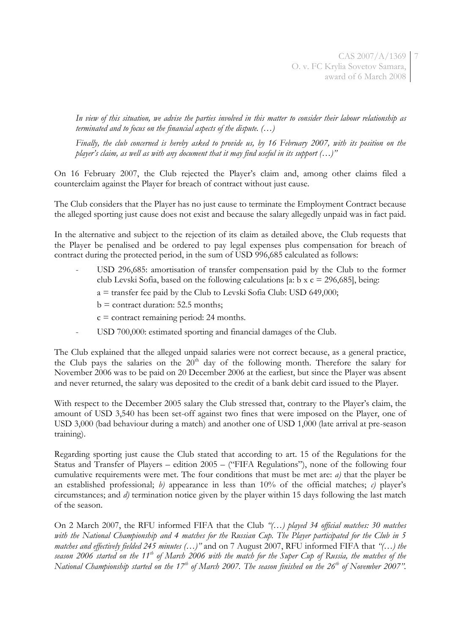7

*In view of this situation, we advise the parties involved in this matter to consider their labour relationship as terminated and to focus on the financial aspects of the dispute. (…)*

*Finally, the club concerned is hereby asked to provide us, by 16 February 2007, with its position on the player's claim, as well as with any document that it may find useful in its support (…)"*

On 16 February 2007, the Club rejected the Player's claim and, among other claims filed a counterclaim against the Player for breach of contract without just cause.

The Club considers that the Player has no just cause to terminate the Employment Contract because the alleged sporting just cause does not exist and because the salary allegedly unpaid was in fact paid.

In the alternative and subject to the rejection of its claim as detailed above, the Club requests that the Player be penalised and be ordered to pay legal expenses plus compensation for breach of contract during the protected period, in the sum of USD 996,685 calculated as follows:

- USD 296,685: amortisation of transfer compensation paid by the Club to the former club Levski Sofia, based on the following calculations [a: b x  $c = 296,685$ ], being:
	- $a =$  transfer fee paid by the Club to Levski Sofia Club: USD 649,000;
	- $b =$  contract duration: 52.5 months;
	- $c =$  contract remaining period: 24 months.
- USD 700,000: estimated sporting and financial damages of the Club.

The Club explained that the alleged unpaid salaries were not correct because, as a general practice, the Club pays the salaries on the  $20<sup>th</sup>$  day of the following month. Therefore the salary for November 2006 was to be paid on 20 December 2006 at the earliest, but since the Player was absent and never returned, the salary was deposited to the credit of a bank debit card issued to the Player.

With respect to the December 2005 salary the Club stressed that, contrary to the Player's claim, the amount of USD 3,540 has been set-off against two fines that were imposed on the Player, one of USD 3,000 (bad behaviour during a match) and another one of USD 1,000 (late arrival at pre-season training).

Regarding sporting just cause the Club stated that according to art. 15 of the Regulations for the Status and Transfer of Players – edition 2005 – ("FIFA Regulations"), none of the following four cumulative requirements were met. The four conditions that must be met are: *a)* that the player be an established professional; *b)* appearance in less than 10% of the official matches; *c)* player's circumstances; and *d)* termination notice given by the player within 15 days following the last match of the season.

On 2 March 2007, the RFU informed FIFA that the Club *"(…) played 34 official matches: 30 matches with the National Championship and 4 matches for the Russian Cup. The Player participated for the Club in 5 matches and effectively fielded 245 minutes (…)"* and on 7 August 2007, RFU informed FIFA that *"(…) the season 2006 started on the 11th of March 2006 with the match for the Super Cup of Russia, the matches of the National Championship started on the 17th of March 2007. The season finished on the 26th of November 2007".*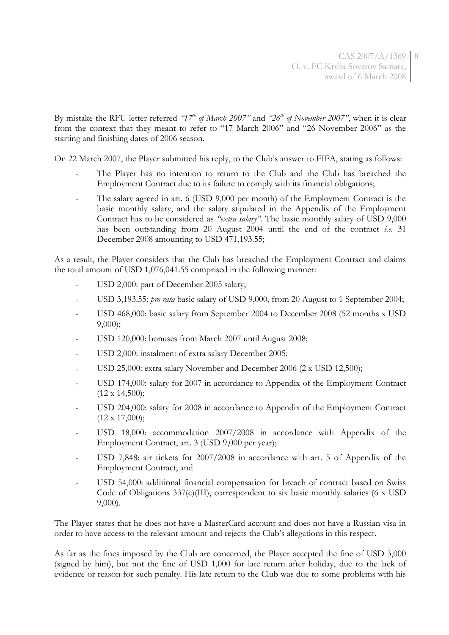CAS 2007/A/1369 8 O. v. FC Krylia Sovetov Samara, award of 6 March 2008

By mistake the RFU letter referred *"17th of March 2007"* and *"26th of November 2007"*, when it is clear from the context that they meant to refer to "17 March 2006" and "26 November 2006" as the starting and finishing dates of 2006 season.

On 22 March 2007, the Player submitted his reply, to the Club's answer to FIFA, stating as follows:

- The Player has no intention to return to the Club and the Club has breached the Employment Contract due to its failure to comply with its financial obligations;
- The salary agreed in art. 6 (USD 9,000 per month) of the Employment Contract is the basic monthly salary, and the salary stipulated in the Appendix of the Employment Contract has to be considered as *"extra salary"*. The basic monthly salary of USD 9,000 has been outstanding from 20 August 2004 until the end of the contract *i.e.* 31 December 2008 amounting to USD 471,193.55;

As a result, the Player considers that the Club has breached the Employment Contract and claims the total amount of USD 1,076,041.55 comprised in the following manner:

- USD 2,000: part of December 2005 salary;
- USD 3,193.55: *pro rata* basic salary of USD 9,000, from 20 August to 1 September 2004;
- USD 468,000: basic salary from September 2004 to December 2008 (52 months x USD 9,000);
- USD 120,000: bonuses from March 2007 until August 2008;
- USD 2,000: instalment of extra salary December 2005;
- USD 25,000: extra salary November and December 2006 (2 x USD 12,500);
- USD 174,000: salary for 2007 in accordance to Appendix of the Employment Contract  $(12 \times 14,500);$
- USD 204,000: salary for 2008 in accordance to Appendix of the Employment Contract  $(12 \times 17,000);$
- USD 18,000: accommodation 2007/2008 in accordance with Appendix of the Employment Contract, art. 3 (USD 9,000 per year);
- USD 7,848: air tickets for 2007/2008 in accordance with art. 5 of Appendix of the Employment Contract; and
- USD 54,000: additional financial compensation for breach of contract based on Swiss Code of Obligations 337(c)(III), correspondent to six basic monthly salaries (6 x USD 9,000).

The Player states that he does not have a MasterCard account and does not have a Russian visa in order to have access to the relevant amount and rejects the Club's allegations in this respect.

As far as the fines imposed by the Club are concerned, the Player accepted the fine of USD 3,000 (signed by him), but not the fine of USD 1,000 for late return after holiday, due to the lack of evidence or reason for such penalty. His late return to the Club was due to some problems with his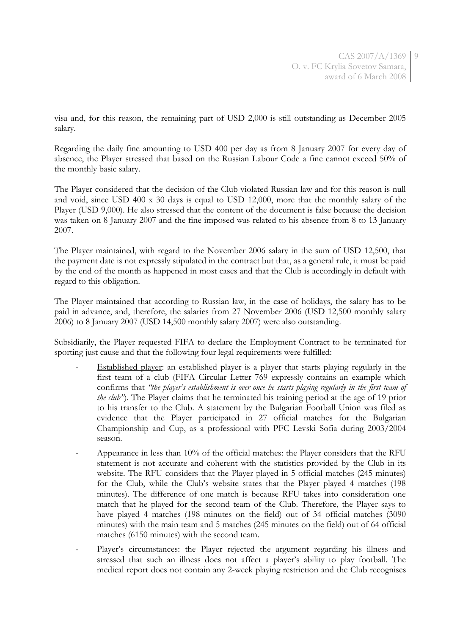CAS 2007/A/1369 9 O. v. FC Krylia Sovetov Samara, award of 6 March 2008

visa and, for this reason, the remaining part of USD 2,000 is still outstanding as December 2005 salary.

Regarding the daily fine amounting to USD 400 per day as from 8 January 2007 for every day of absence, the Player stressed that based on the Russian Labour Code a fine cannot exceed 50% of the monthly basic salary.

The Player considered that the decision of the Club violated Russian law and for this reason is null and void, since USD 400 x 30 days is equal to USD 12,000, more that the monthly salary of the Player (USD 9,000). He also stressed that the content of the document is false because the decision was taken on 8 January 2007 and the fine imposed was related to his absence from 8 to 13 January 2007.

The Player maintained, with regard to the November 2006 salary in the sum of USD 12,500, that the payment date is not expressly stipulated in the contract but that, as a general rule, it must be paid by the end of the month as happened in most cases and that the Club is accordingly in default with regard to this obligation.

The Player maintained that according to Russian law, in the case of holidays, the salary has to be paid in advance, and, therefore, the salaries from 27 November 2006 (USD 12,500 monthly salary 2006) to 8 January 2007 (USD 14,500 monthly salary 2007) were also outstanding.

Subsidiarily, the Player requested FIFA to declare the Employment Contract to be terminated for sporting just cause and that the following four legal requirements were fulfilled:

- Established player: an established player is a player that starts playing regularly in the first team of a club (FIFA Circular Letter 769 expressly contains an example which confirms that *"the player's establishment is over once he starts playing regularly in the first team of the club"*). The Player claims that he terminated his training period at the age of 19 prior to his transfer to the Club. A statement by the Bulgarian Football Union was filed as evidence that the Player participated in 27 official matches for the Bulgarian Championship and Cup, as a professional with PFC Levski Sofia during 2003/2004 season.
- Appearance in less than 10% of the official matches: the Player considers that the RFU statement is not accurate and coherent with the statistics provided by the Club in its website. The RFU considers that the Player played in 5 official matches (245 minutes) for the Club, while the Club's website states that the Player played 4 matches (198 minutes). The difference of one match is because RFU takes into consideration one match that he played for the second team of the Club. Therefore, the Player says to have played 4 matches (198 minutes on the field) out of 34 official matches (3090 minutes) with the main team and 5 matches (245 minutes on the field) out of 64 official matches (6150 minutes) with the second team.
- Player's circumstances: the Player rejected the argument regarding his illness and stressed that such an illness does not affect a player's ability to play football. The medical report does not contain any 2-week playing restriction and the Club recognises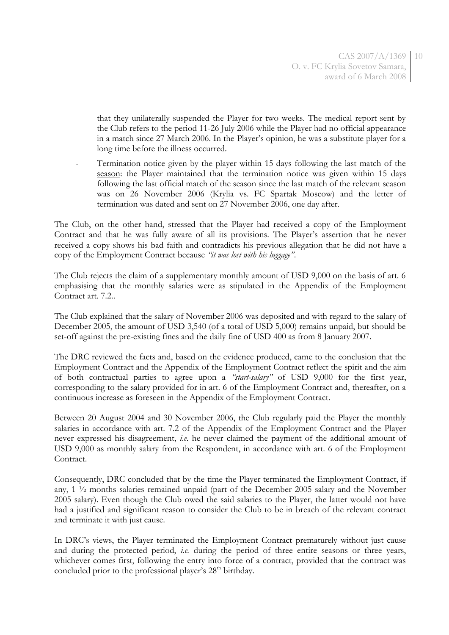that they unilaterally suspended the Player for two weeks. The medical report sent by the Club refers to the period 11-26 July 2006 while the Player had no official appearance in a match since 27 March 2006. In the Player's opinion, he was a substitute player for a long time before the illness occurred.

Termination notice given by the player within 15 days following the last match of the season: the Player maintained that the termination notice was given within 15 days following the last official match of the season since the last match of the relevant season was on 26 November 2006 (Krylia vs. FC Spartak Moscow) and the letter of termination was dated and sent on 27 November 2006, one day after.

The Club, on the other hand, stressed that the Player had received a copy of the Employment Contract and that he was fully aware of all its provisions. The Player's assertion that he never received a copy shows his bad faith and contradicts his previous allegation that he did not have a copy of the Employment Contract because *"it was lost with his luggage"*.

The Club rejects the claim of a supplementary monthly amount of USD 9,000 on the basis of art. 6 emphasising that the monthly salaries were as stipulated in the Appendix of the Employment Contract art. 7.2..

The Club explained that the salary of November 2006 was deposited and with regard to the salary of December 2005, the amount of USD 3,540 (of a total of USD 5,000) remains unpaid, but should be set-off against the pre-existing fines and the daily fine of USD 400 as from 8 January 2007.

The DRC reviewed the facts and, based on the evidence produced, came to the conclusion that the Employment Contract and the Appendix of the Employment Contract reflect the spirit and the aim of both contractual parties to agree upon a *"start-salary"* of USD 9,000 for the first year, corresponding to the salary provided for in art. 6 of the Employment Contract and, thereafter, on a continuous increase as foreseen in the Appendix of the Employment Contract.

Between 20 August 2004 and 30 November 2006, the Club regularly paid the Player the monthly salaries in accordance with art. 7.2 of the Appendix of the Employment Contract and the Player never expressed his disagreement, *i.e*. he never claimed the payment of the additional amount of USD 9,000 as monthly salary from the Respondent, in accordance with art. 6 of the Employment Contract.

Consequently, DRC concluded that by the time the Player terminated the Employment Contract, if any, 1 ½ months salaries remained unpaid (part of the December 2005 salary and the November 2005 salary). Even though the Club owed the said salaries to the Player, the latter would not have had a justified and significant reason to consider the Club to be in breach of the relevant contract and terminate it with just cause.

In DRC's views, the Player terminated the Employment Contract prematurely without just cause and during the protected period, *i.e.* during the period of three entire seasons or three years, whichever comes first, following the entry into force of a contract, provided that the contract was concluded prior to the professional player's  $28<sup>th</sup>$  birthday.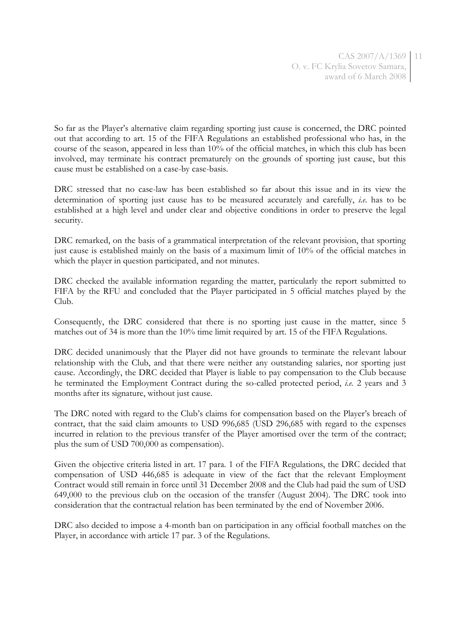So far as the Player's alternative claim regarding sporting just cause is concerned, the DRC pointed out that according to art. 15 of the FIFA Regulations an established professional who has, in the course of the season, appeared in less than 10% of the official matches, in which this club has been involved, may terminate his contract prematurely on the grounds of sporting just cause, but this cause must be established on a case-by case-basis.

DRC stressed that no case-law has been established so far about this issue and in its view the determination of sporting just cause has to be measured accurately and carefully, *i.e*. has to be established at a high level and under clear and objective conditions in order to preserve the legal security.

DRC remarked, on the basis of a grammatical interpretation of the relevant provision, that sporting just cause is established mainly on the basis of a maximum limit of 10% of the official matches in which the player in question participated, and not minutes.

DRC checked the available information regarding the matter, particularly the report submitted to FIFA by the RFU and concluded that the Player participated in 5 official matches played by the Club.

Consequently, the DRC considered that there is no sporting just cause in the matter, since 5 matches out of 34 is more than the 10% time limit required by art. 15 of the FIFA Regulations.

DRC decided unanimously that the Player did not have grounds to terminate the relevant labour relationship with the Club, and that there were neither any outstanding salaries, nor sporting just cause. Accordingly, the DRC decided that Player is liable to pay compensation to the Club because he terminated the Employment Contract during the so-called protected period, *i.e.* 2 years and 3 months after its signature, without just cause.

The DRC noted with regard to the Club's claims for compensation based on the Player's breach of contract, that the said claim amounts to USD 996,685 (USD 296,685 with regard to the expenses incurred in relation to the previous transfer of the Player amortised over the term of the contract; plus the sum of USD 700,000 as compensation).

Given the objective criteria listed in art. 17 para. 1 of the FIFA Regulations, the DRC decided that compensation of USD 446,685 is adequate in view of the fact that the relevant Employment Contract would still remain in force until 31 December 2008 and the Club had paid the sum of USD 649,000 to the previous club on the occasion of the transfer (August 2004). The DRC took into consideration that the contractual relation has been terminated by the end of November 2006.

DRC also decided to impose a 4-month ban on participation in any official football matches on the Player, in accordance with article 17 par. 3 of the Regulations.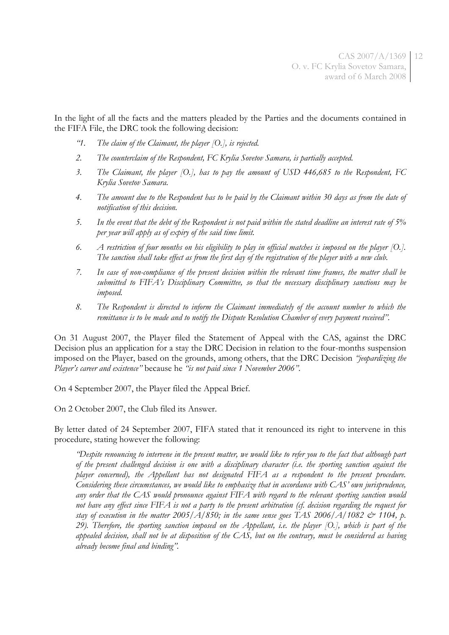In the light of all the facts and the matters pleaded by the Parties and the documents contained in the FIFA File, the DRC took the following decision:

- *"1. The claim of the Claimant, the player [O.], is rejected.*
- *2. The counterclaim of the Respondent, FC Krylia Sovetov Samara, is partially accepted.*
- *3. The Claimant, the player [O.], has to pay the amount of USD 446,685 to the Respondent, FC Krylia Sovetov Samara.*
- *4. The amount due to the Respondent has to be paid by the Claimant within 30 days as from the date of notification of this decision.*
- *5. In the event that the debt of the Respondent is not paid within the stated deadline an interest rate of 5% per year will apply as of expiry of the said time limit.*
- *6. A restriction of four months on his eligibility to play in official matches is imposed on the player [O.]. The sanction shall take effect as from the first day of the registration of the player with a new club.*
- *7. In case of non-compliance of the present decision within the relevant time frames, the matter shall be submitted to FIFA's Disciplinary Committee, so that the necessary disciplinary sanctions may be imposed.*
- *8. The Respondent is directed to inform the Claimant immediately of the account number to which the remittance is to be made and to notify the Dispute Resolution Chamber of every payment received".*

On 31 August 2007, the Player filed the Statement of Appeal with the CAS, against the DRC Decision plus an application for a stay the DRC Decision in relation to the four-months suspension imposed on the Player, based on the grounds, among others, that the DRC Decision *"jeopardizing the Player's career and existence"* because he *"is not paid since 1 November 2006"*.

On 4 September 2007, the Player filed the Appeal Brief.

On 2 October 2007, the Club filed its Answer.

By letter dated of 24 September 2007, FIFA stated that it renounced its right to intervene in this procedure, stating however the following:

*"Despite renouncing to intervene in the present matter, we would like to refer you to the fact that although part of the present challenged decision is one with a disciplinary character (i.e. the sporting sanction against the player concerned), the Appellant has not designated FIFA as a respondent to the present procedure. Considering these circumstances, we would like to emphasize that in accordance with CAS' own jurisprudence, any order that the CAS would pronounce against FIFA with regard to the relevant sporting sanction would not have any effect since FIFA is not a party to the present arbitration (cf. decision regarding the request for stay of execution in the matter 2005/A/850; in the same sense goes TAS 2006/A/1082*  $\circ$  *1104, p. 29). Therefore, the sporting sanction imposed on the Appellant, i.e. the player [O.], which is part of the appealed decision, shall not be at disposition of the CAS, but on the contrary, must be considered as having already become final and binding".*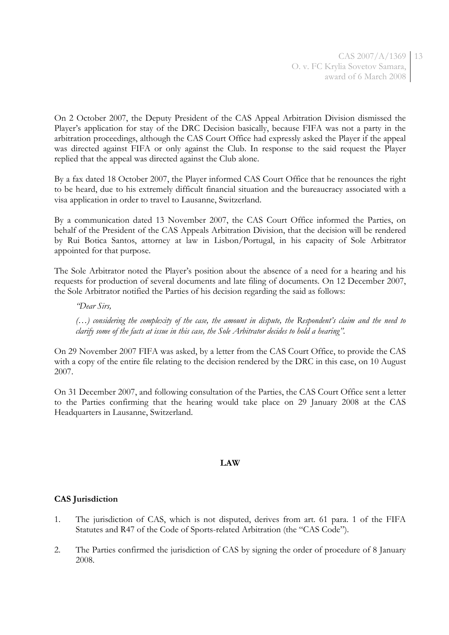On 2 October 2007, the Deputy President of the CAS Appeal Arbitration Division dismissed the Player's application for stay of the DRC Decision basically, because FIFA was not a party in the arbitration proceedings, although the CAS Court Office had expressly asked the Player if the appeal was directed against FIFA or only against the Club. In response to the said request the Player replied that the appeal was directed against the Club alone.

By a fax dated 18 October 2007, the Player informed CAS Court Office that he renounces the right to be heard, due to his extremely difficult financial situation and the bureaucracy associated with a visa application in order to travel to Lausanne, Switzerland.

By a communication dated 13 November 2007, the CAS Court Office informed the Parties, on behalf of the President of the CAS Appeals Arbitration Division, that the decision will be rendered by Rui Botica Santos, attorney at law in Lisbon/Portugal, in his capacity of Sole Arbitrator appointed for that purpose.

The Sole Arbitrator noted the Player's position about the absence of a need for a hearing and his requests for production of several documents and late filing of documents. On 12 December 2007, the Sole Arbitrator notified the Parties of his decision regarding the said as follows:

*"Dear Sirs,*

*(…) considering the complexity of the case, the amount in dispute, the Respondent's claim and the need to clarify some of the facts at issue in this case, the Sole Arbitrator decides to hold a hearing".*

On 29 November 2007 FIFA was asked, by a letter from the CAS Court Office, to provide the CAS with a copy of the entire file relating to the decision rendered by the DRC in this case, on 10 August 2007.

On 31 December 2007, and following consultation of the Parties, the CAS Court Office sent a letter to the Parties confirming that the hearing would take place on 29 January 2008 at the CAS Headquarters in Lausanne, Switzerland.

## **LAW**

# **CAS Jurisdiction**

- 1. The jurisdiction of CAS, which is not disputed, derives from art. 61 para. 1 of the FIFA Statutes and R47 of the Code of Sports-related Arbitration (the "CAS Code").
- 2. The Parties confirmed the jurisdiction of CAS by signing the order of procedure of 8 January 2008.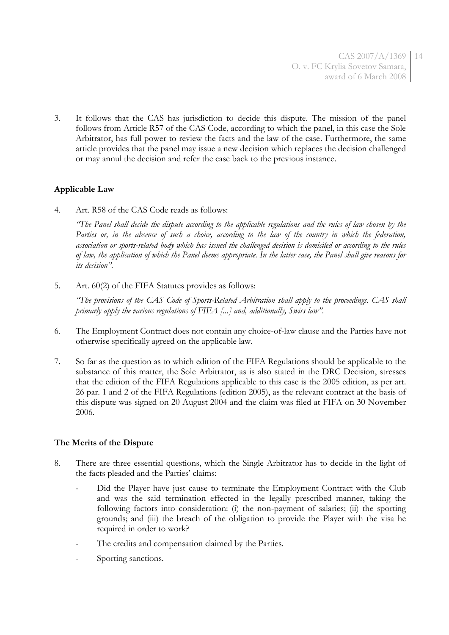CAS 2007/A/1369 14 O. v. FC Krylia Sovetov Samara, award of 6 March 2008

3. It follows that the CAS has jurisdiction to decide this dispute. The mission of the panel follows from Article R57 of the CAS Code, according to which the panel, in this case the Sole Arbitrator, has full power to review the facts and the law of the case. Furthermore, the same article provides that the panel may issue a new decision which replaces the decision challenged or may annul the decision and refer the case back to the previous instance.

## **Applicable Law**

4. Art. R58 of the CAS Code reads as follows:

*"The Panel shall decide the dispute according to the applicable regulations and the rules of law chosen by the*  Parties or, in the absence of such a choice, according to the law of the country in which the federation, *association or sports-related body which has issued the challenged decision is domiciled or according to the rules of law, the application of which the Panel deems appropriate. In the latter case, the Panel shall give reasons for its decision".*

5. Art. 60(2) of the FIFA Statutes provides as follows:

*"The provisions of the CAS Code of Sports-Related Arbitration shall apply to the proceedings. CAS shall primarly apply the various regulations of FIFA [...] and, additionally, Swiss law".*

- 6. The Employment Contract does not contain any choice-of-law clause and the Parties have not otherwise specifically agreed on the applicable law.
- 7. So far as the question as to which edition of the FIFA Regulations should be applicable to the substance of this matter, the Sole Arbitrator, as is also stated in the DRC Decision, stresses that the edition of the FIFA Regulations applicable to this case is the 2005 edition, as per art. 26 par. 1 and 2 of the FIFA Regulations (edition 2005), as the relevant contract at the basis of this dispute was signed on 20 August 2004 and the claim was filed at FIFA on 30 November 2006.

## **The Merits of the Dispute**

- 8. There are three essential questions, which the Single Arbitrator has to decide in the light of the facts pleaded and the Parties' claims:
	- Did the Player have just cause to terminate the Employment Contract with the Club and was the said termination effected in the legally prescribed manner, taking the following factors into consideration: (i) the non-payment of salaries; (ii) the sporting grounds; and (iii) the breach of the obligation to provide the Player with the visa he required in order to work?
	- The credits and compensation claimed by the Parties.
	- Sporting sanctions.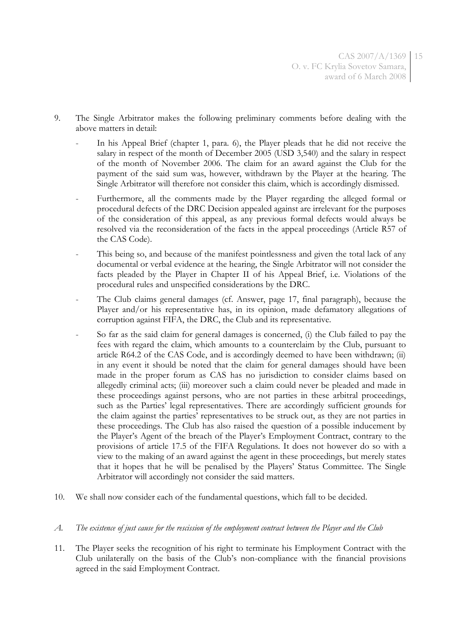- 9. The Single Arbitrator makes the following preliminary comments before dealing with the above matters in detail:
	- In his Appeal Brief (chapter 1, para. 6), the Player pleads that he did not receive the salary in respect of the month of December 2005 (USD 3,540) and the salary in respect of the month of November 2006. The claim for an award against the Club for the payment of the said sum was, however, withdrawn by the Player at the hearing. The Single Arbitrator will therefore not consider this claim, which is accordingly dismissed.
	- Furthermore, all the comments made by the Player regarding the alleged formal or procedural defects of the DRC Decision appealed against are irrelevant for the purposes of the consideration of this appeal, as any previous formal defects would always be resolved via the reconsideration of the facts in the appeal proceedings (Article R57 of the CAS Code).
	- This being so, and because of the manifest pointlessness and given the total lack of any documental or verbal evidence at the hearing, the Single Arbitrator will not consider the facts pleaded by the Player in Chapter II of his Appeal Brief, i.e. Violations of the procedural rules and unspecified considerations by the DRC.
	- The Club claims general damages (cf. Answer, page 17, final paragraph), because the Player and/or his representative has, in its opinion, made defamatory allegations of corruption against FIFA, the DRC, the Club and its representative.
	- So far as the said claim for general damages is concerned, (i) the Club failed to pay the fees with regard the claim, which amounts to a counterclaim by the Club, pursuant to article R64.2 of the CAS Code, and is accordingly deemed to have been withdrawn; (ii) in any event it should be noted that the claim for general damages should have been made in the proper forum as CAS has no jurisdiction to consider claims based on allegedly criminal acts; (iii) moreover such a claim could never be pleaded and made in these proceedings against persons, who are not parties in these arbitral proceedings, such as the Parties' legal representatives. There are accordingly sufficient grounds for the claim against the parties' representatives to be struck out, as they are not parties in these proceedings. The Club has also raised the question of a possible inducement by the Player's Agent of the breach of the Player's Employment Contract, contrary to the provisions of article 17.5 of the FIFA Regulations. It does not however do so with a view to the making of an award against the agent in these proceedings, but merely states that it hopes that he will be penalised by the Players' Status Committee. The Single Arbitrator will accordingly not consider the said matters.
- 10. We shall now consider each of the fundamental questions, which fall to be decided.
- *A. The existence of just cause for the rescission of the employment contract between the Player and the Club*
- 11. The Player seeks the recognition of his right to terminate his Employment Contract with the Club unilaterally on the basis of the Club's non-compliance with the financial provisions agreed in the said Employment Contract.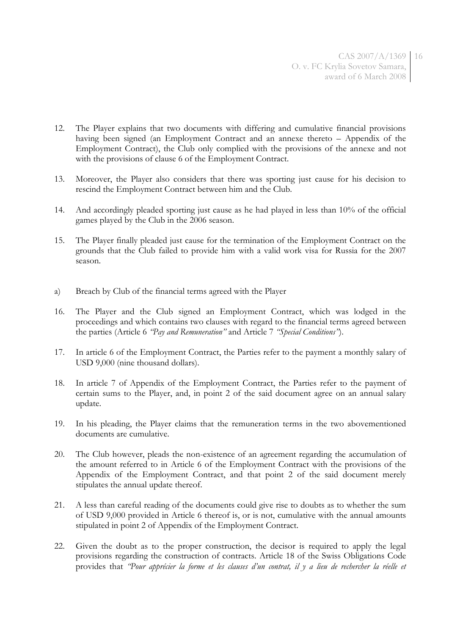- 12. The Player explains that two documents with differing and cumulative financial provisions having been signed (an Employment Contract and an annexe thereto – Appendix of the Employment Contract), the Club only complied with the provisions of the annexe and not with the provisions of clause 6 of the Employment Contract.
- 13. Moreover, the Player also considers that there was sporting just cause for his decision to rescind the Employment Contract between him and the Club.
- 14. And accordingly pleaded sporting just cause as he had played in less than 10% of the official games played by the Club in the 2006 season.
- 15. The Player finally pleaded just cause for the termination of the Employment Contract on the grounds that the Club failed to provide him with a valid work visa for Russia for the 2007 season.
- a) Breach by Club of the financial terms agreed with the Player
- 16. The Player and the Club signed an Employment Contract, which was lodged in the proceedings and which contains two clauses with regard to the financial terms agreed between the parties (Article 6 *"Pay and Remuneration"* and Article 7 *"Special Conditions"*).
- 17. In article 6 of the Employment Contract, the Parties refer to the payment a monthly salary of USD 9,000 (nine thousand dollars).
- 18. In article 7 of Appendix of the Employment Contract, the Parties refer to the payment of certain sums to the Player, and, in point 2 of the said document agree on an annual salary update.
- 19. In his pleading, the Player claims that the remuneration terms in the two abovementioned documents are cumulative.
- 20. The Club however, pleads the non-existence of an agreement regarding the accumulation of the amount referred to in Article 6 of the Employment Contract with the provisions of the Appendix of the Employment Contract, and that point 2 of the said document merely stipulates the annual update thereof.
- 21. A less than careful reading of the documents could give rise to doubts as to whether the sum of USD 9,000 provided in Article 6 thereof is, or is not, cumulative with the annual amounts stipulated in point 2 of Appendix of the Employment Contract.
- 22. Given the doubt as to the proper construction, the decisor is required to apply the legal provisions regarding the construction of contracts. Article 18 of the Swiss Obligations Code provides that *"Pour apprécier la forme et les clauses d'un contrat, il y a lieu de rechercher la réelle et*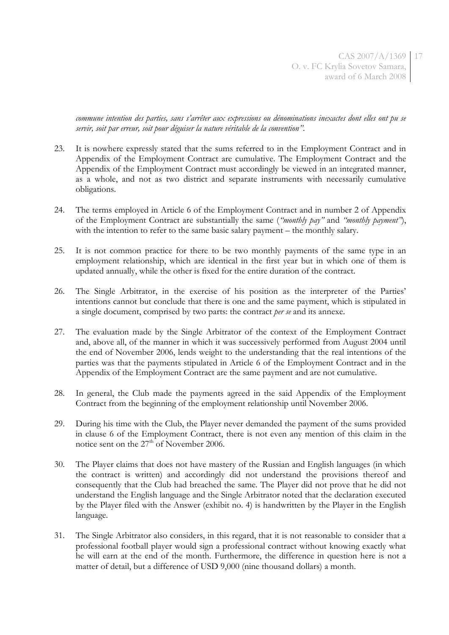*commune intention des parties, sans s'arrêter aux expressions ou dénominations inexactes dont elles ont pu se servir, soit par erreur, soit pour déguiser la nature véritable de la convention"*.

- 23. It is nowhere expressly stated that the sums referred to in the Employment Contract and in Appendix of the Employment Contract are cumulative. The Employment Contract and the Appendix of the Employment Contract must accordingly be viewed in an integrated manner, as a whole, and not as two district and separate instruments with necessarily cumulative obligations.
- 24. The terms employed in Article 6 of the Employment Contract and in number 2 of Appendix of the Employment Contract are substantially the same (*"monthly pay"* and *"monthly payment"*), with the intention to refer to the same basic salary payment – the monthly salary.
- 25. It is not common practice for there to be two monthly payments of the same type in an employment relationship, which are identical in the first year but in which one of them is updated annually, while the other is fixed for the entire duration of the contract.
- 26. The Single Arbitrator, in the exercise of his position as the interpreter of the Parties' intentions cannot but conclude that there is one and the same payment, which is stipulated in a single document, comprised by two parts: the contract *per se* and its annexe.
- 27. The evaluation made by the Single Arbitrator of the context of the Employment Contract and, above all, of the manner in which it was successively performed from August 2004 until the end of November 2006, lends weight to the understanding that the real intentions of the parties was that the payments stipulated in Article 6 of the Employment Contract and in the Appendix of the Employment Contract are the same payment and are not cumulative.
- 28. In general, the Club made the payments agreed in the said Appendix of the Employment Contract from the beginning of the employment relationship until November 2006.
- 29. During his time with the Club, the Player never demanded the payment of the sums provided in clause 6 of the Employment Contract, there is not even any mention of this claim in the notice sent on the  $27<sup>th</sup>$  of November 2006.
- 30. The Player claims that does not have mastery of the Russian and English languages (in which the contract is written) and accordingly did not understand the provisions thereof and consequently that the Club had breached the same. The Player did not prove that he did not understand the English language and the Single Arbitrator noted that the declaration executed by the Player filed with the Answer (exhibit no. 4) is handwritten by the Player in the English language.
- 31. The Single Arbitrator also considers, in this regard, that it is not reasonable to consider that a professional football player would sign a professional contract without knowing exactly what he will earn at the end of the month. Furthermore, the difference in question here is not a matter of detail, but a difference of USD 9,000 (nine thousand dollars) a month.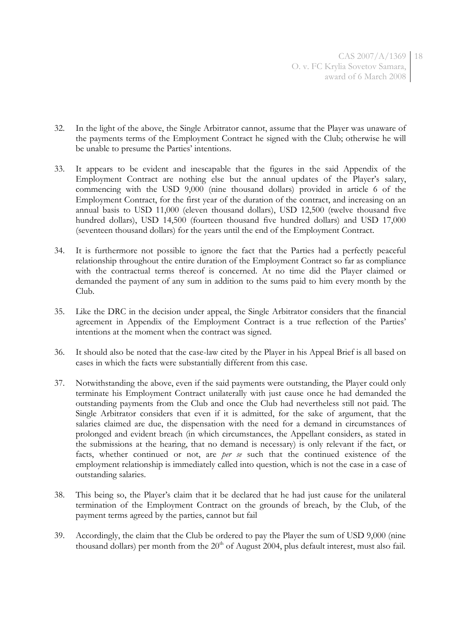CAS 2007/A/1369 18 O. v. FC Krylia Sovetov Samara, award of 6 March 2008

- 32. In the light of the above, the Single Arbitrator cannot, assume that the Player was unaware of the payments terms of the Employment Contract he signed with the Club; otherwise he will be unable to presume the Parties' intentions.
- 33. It appears to be evident and inescapable that the figures in the said Appendix of the Employment Contract are nothing else but the annual updates of the Player's salary, commencing with the USD 9,000 (nine thousand dollars) provided in article 6 of the Employment Contract, for the first year of the duration of the contract, and increasing on an annual basis to USD 11,000 (eleven thousand dollars), USD 12,500 (twelve thousand five hundred dollars), USD 14,500 (fourteen thousand five hundred dollars) and USD 17,000 (seventeen thousand dollars) for the years until the end of the Employment Contract.
- 34. It is furthermore not possible to ignore the fact that the Parties had a perfectly peaceful relationship throughout the entire duration of the Employment Contract so far as compliance with the contractual terms thereof is concerned. At no time did the Player claimed or demanded the payment of any sum in addition to the sums paid to him every month by the Club.
- 35. Like the DRC in the decision under appeal, the Single Arbitrator considers that the financial agreement in Appendix of the Employment Contract is a true reflection of the Parties' intentions at the moment when the contract was signed.
- 36. It should also be noted that the case-law cited by the Player in his Appeal Brief is all based on cases in which the facts were substantially different from this case.
- 37. Notwithstanding the above, even if the said payments were outstanding, the Player could only terminate his Employment Contract unilaterally with just cause once he had demanded the outstanding payments from the Club and once the Club had nevertheless still not paid. The Single Arbitrator considers that even if it is admitted, for the sake of argument, that the salaries claimed are due, the dispensation with the need for a demand in circumstances of prolonged and evident breach (in which circumstances, the Appellant considers, as stated in the submissions at the hearing, that no demand is necessary) is only relevant if the fact, or facts, whether continued or not, are *per se* such that the continued existence of the employment relationship is immediately called into question, which is not the case in a case of outstanding salaries.
- 38. This being so, the Player's claim that it be declared that he had just cause for the unilateral termination of the Employment Contract on the grounds of breach, by the Club, of the payment terms agreed by the parties, cannot but fail
- 39. Accordingly, the claim that the Club be ordered to pay the Player the sum of USD 9,000 (nine thousand dollars) per month from the  $20<sup>th</sup>$  of August 2004, plus default interest, must also fail.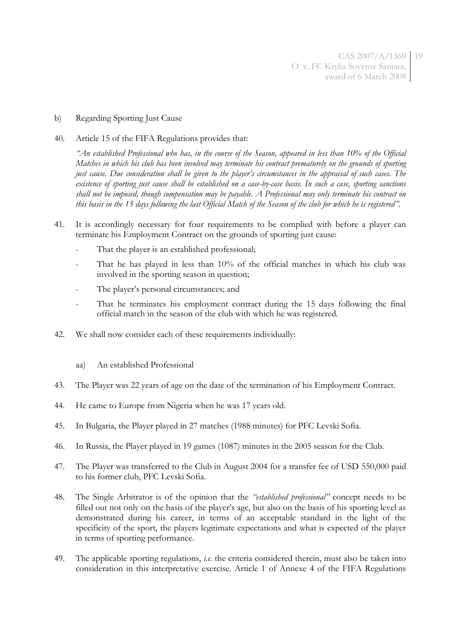#### b) Regarding Sporting Just Cause

#### 40. Article 15 of the FIFA Regulations provides that:

*"An established Professional who has, in the course of the Season, appeared in less than 10% of the Official Matches in which his club has been involved may terminate his contract prematurely on the grounds of sporting just cause. Due consideration shall be given to the player's circumstances in the appraisal of such cases. The existence of sporting just cause shall be established on a case-by-case basis. In such a case, sporting sanctions shall not be imposed, though compensation may be payable. A Professional may only terminate his contract on this basis in the 15 days following the last Official Match of the Season of the club for which he is registered".*

- 41. It is accordingly necessary for four requirements to be complied with before a player can terminate his Employment Contract on the grounds of sporting just cause:
	- That the player is an established professional;
	- That he has played in less than  $10\%$  of the official matches in which his club was involved in the sporting season in question;
	- The player's personal circumstances; and
	- That he terminates his employment contract during the 15 days following the final official match in the season of the club with which he was registered.
- 42. We shall now consider each of these requirements individually:
	- aa) An established Professional
- 43. The Player was 22 years of age on the date of the termination of his Employment Contract.
- 44. He came to Europe from Nigeria when he was 17 years old.
- 45. In Bulgaria, the Player played in 27 matches (1988 minutes) for PFC Levski Sofia.
- 46. In Russia, the Player played in 19 games (1087) minutes in the 2005 season for the Club.
- 47. The Player was transferred to the Club in August 2004 for a transfer fee of USD 550,000 paid to his former club, PFC Levski Sofia.
- 48. The Single Arbitrator is of the opinion that the *"established professional"* concept needs to be filled out not only on the basis of the player's age, but also on the basis of his sporting level as demonstrated during his career, in terms of an acceptable standard in the light of the specificity of the sport, the players legitimate expectations and what is expected of the player in terms of sporting performance.
- 49. The applicable sporting regulations, *i.e.* the criteria considered therein, must also be taken into consideration in this interpretative exercise. Article 1 of Annexe 4 of the FIFA Regulations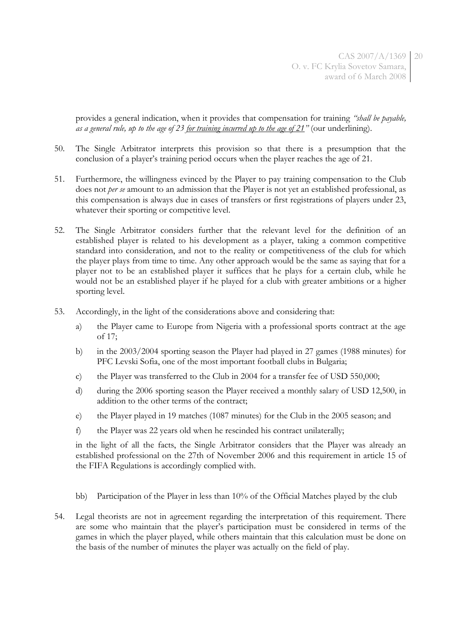CAS 2007/A/1369 20 O. v. FC Krylia Sovetov Samara, award of 6 March 2008

provides a general indication, when it provides that compensation for training *"shall be payable, as a general rule, up to the age of 23 for training incurred up to the age of 21"* (our underlining).

- 50. The Single Arbitrator interprets this provision so that there is a presumption that the conclusion of a player's training period occurs when the player reaches the age of 21.
- 51. Furthermore, the willingness evinced by the Player to pay training compensation to the Club does not *per se* amount to an admission that the Player is not yet an established professional, as this compensation is always due in cases of transfers or first registrations of players under 23, whatever their sporting or competitive level.
- 52. The Single Arbitrator considers further that the relevant level for the definition of an established player is related to his development as a player, taking a common competitive standard into consideration, and not to the reality or competitiveness of the club for which the player plays from time to time. Any other approach would be the same as saying that for a player not to be an established player it suffices that he plays for a certain club, while he would not be an established player if he played for a club with greater ambitions or a higher sporting level.
- 53. Accordingly, in the light of the considerations above and considering that:
	- a) the Player came to Europe from Nigeria with a professional sports contract at the age of 17;
	- b) in the 2003/2004 sporting season the Player had played in 27 games (1988 minutes) for PFC Levski Sofia, one of the most important football clubs in Bulgaria;
	- c) the Player was transferred to the Club in 2004 for a transfer fee of USD 550,000;
	- d) during the 2006 sporting season the Player received a monthly salary of USD 12,500, in addition to the other terms of the contract;
	- e) the Player played in 19 matches (1087 minutes) for the Club in the 2005 season; and
	- f) the Player was 22 years old when he rescinded his contract unilaterally;

in the light of all the facts, the Single Arbitrator considers that the Player was already an established professional on the 27th of November 2006 and this requirement in article 15 of the FIFA Regulations is accordingly complied with.

- bb) Participation of the Player in less than 10% of the Official Matches played by the club
- 54. Legal theorists are not in agreement regarding the interpretation of this requirement. There are some who maintain that the player's participation must be considered in terms of the games in which the player played, while others maintain that this calculation must be done on the basis of the number of minutes the player was actually on the field of play.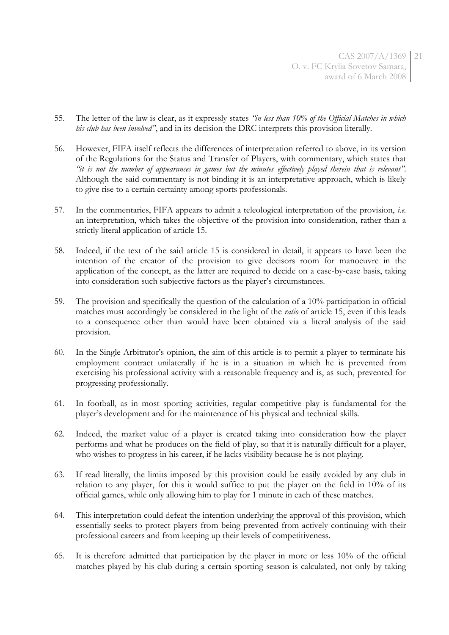CAS 2007/A/1369 21 O. v. FC Krylia Sovetov Samara, award of 6 March 2008

- 55. The letter of the law is clear, as it expressly states *"in less than 10% of the Official Matches in which his club has been involved"*, and in its decision the DRC interprets this provision literally.
- 56. However, FIFA itself reflects the differences of interpretation referred to above, in its version of the Regulations for the Status and Transfer of Players, with commentary, which states that *"it is not the number of appearances in games but the minutes effectively played therein that is relevant"*. Although the said commentary is not binding it is an interpretative approach, which is likely to give rise to a certain certainty among sports professionals.
- 57. In the commentaries, FIFA appears to admit a teleological interpretation of the provision, *i.e.* an interpretation, which takes the objective of the provision into consideration, rather than a strictly literal application of article 15.
- 58. Indeed, if the text of the said article 15 is considered in detail, it appears to have been the intention of the creator of the provision to give decisors room for manoeuvre in the application of the concept, as the latter are required to decide on a case-by-case basis, taking into consideration such subjective factors as the player's circumstances.
- 59. The provision and specifically the question of the calculation of a 10% participation in official matches must accordingly be considered in the light of the *ratio* of article 15, even if this leads to a consequence other than would have been obtained via a literal analysis of the said provision.
- 60. In the Single Arbitrator's opinion, the aim of this article is to permit a player to terminate his employment contract unilaterally if he is in a situation in which he is prevented from exercising his professional activity with a reasonable frequency and is, as such, prevented for progressing professionally.
- 61. In football, as in most sporting activities, regular competitive play is fundamental for the player's development and for the maintenance of his physical and technical skills.
- 62. Indeed, the market value of a player is created taking into consideration how the player performs and what he produces on the field of play, so that it is naturally difficult for a player, who wishes to progress in his career, if he lacks visibility because he is not playing.
- 63. If read literally, the limits imposed by this provision could be easily avoided by any club in relation to any player, for this it would suffice to put the player on the field in 10% of its official games, while only allowing him to play for 1 minute in each of these matches.
- 64. This interpretation could defeat the intention underlying the approval of this provision, which essentially seeks to protect players from being prevented from actively continuing with their professional careers and from keeping up their levels of competitiveness.
- 65. It is therefore admitted that participation by the player in more or less 10% of the official matches played by his club during a certain sporting season is calculated, not only by taking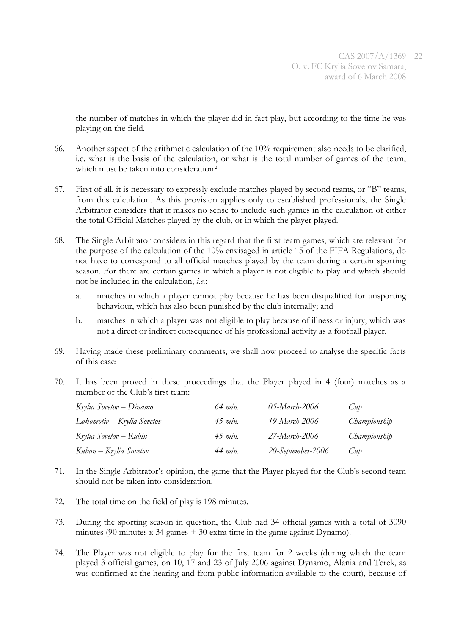the number of matches in which the player did in fact play, but according to the time he was playing on the field.

- 66. Another aspect of the arithmetic calculation of the 10% requirement also needs to be clarified, i.e. what is the basis of the calculation, or what is the total number of games of the team, which must be taken into consideration?
- 67. First of all, it is necessary to expressly exclude matches played by second teams, or "B" teams, from this calculation. As this provision applies only to established professionals, the Single Arbitrator considers that it makes no sense to include such games in the calculation of either the total Official Matches played by the club, or in which the player played.
- 68. The Single Arbitrator considers in this regard that the first team games, which are relevant for the purpose of the calculation of the 10% envisaged in article 15 of the FIFA Regulations, do not have to correspond to all official matches played by the team during a certain sporting season. For there are certain games in which a player is not eligible to play and which should not be included in the calculation, *i.e*.:
	- a. matches in which a player cannot play because he has been disqualified for unsporting behaviour, which has also been punished by the club internally; and
	- b. matches in which a player was not eligible to play because of illness or injury, which was not a direct or indirect consequence of his professional activity as a football player.
- 69. Having made these preliminary comments, we shall now proceed to analyse the specific facts of this case:
- 70. It has been proved in these proceedings that the Player played in 4 (four) matches as a member of the Club's first team:

| Krylia Sovetov – Dinamo    | 64 min.         | 05-March-2006     | $\zeta$ <sub>u</sub>  |
|----------------------------|-----------------|-------------------|-----------------------|
| Lokomotiv – Krylia Sovetov | 45 min.         | 19-March-2006     | Championship          |
| Krylia Sovetov – Rubin     | 45 min.         | 27-March-2006     | Championship          |
| Kuban – Krylia Sovetov     | 44 <i>min</i> . | 20-September-2006 | $\epsilon$ <i>u</i> b |

- 71. In the Single Arbitrator's opinion, the game that the Player played for the Club's second team should not be taken into consideration.
- 72. The total time on the field of play is 198 minutes.
- 73. During the sporting season in question, the Club had 34 official games with a total of 3090 minutes (90 minutes x 34 games + 30 extra time in the game against Dynamo).
- 74. The Player was not eligible to play for the first team for 2 weeks (during which the team played 3 official games, on 10, 17 and 23 of July 2006 against Dynamo, Alania and Terek, as was confirmed at the hearing and from public information available to the court), because of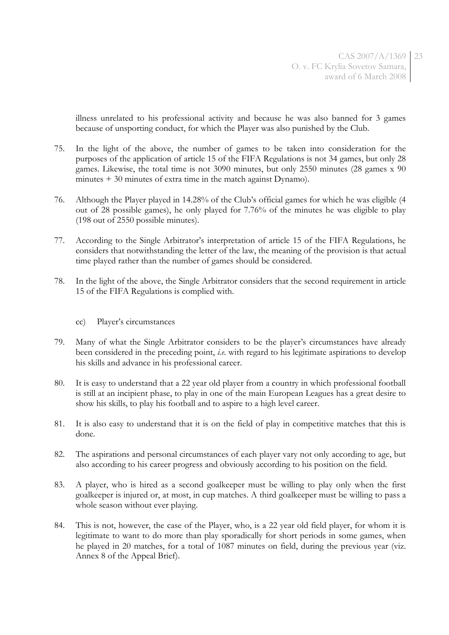illness unrelated to his professional activity and because he was also banned for 3 games because of unsporting conduct, for which the Player was also punished by the Club.

- 75. In the light of the above, the number of games to be taken into consideration for the purposes of the application of article 15 of the FIFA Regulations is not 34 games, but only 28 games. Likewise, the total time is not 3090 minutes, but only 2550 minutes (28 games x 90 minutes + 30 minutes of extra time in the match against Dynamo).
- 76. Although the Player played in 14.28% of the Club's official games for which he was eligible (4 out of 28 possible games), he only played for 7.76% of the minutes he was eligible to play (198 out of 2550 possible minutes).
- 77. According to the Single Arbitrator's interpretation of article 15 of the FIFA Regulations, he considers that notwithstanding the letter of the law, the meaning of the provision is that actual time played rather than the number of games should be considered.
- 78. In the light of the above, the Single Arbitrator considers that the second requirement in article 15 of the FIFA Regulations is complied with.
	- cc) Player's circumstances
- 79. Many of what the Single Arbitrator considers to be the player's circumstances have already been considered in the preceding point, *i.e.* with regard to his legitimate aspirations to develop his skills and advance in his professional career.
- 80. It is easy to understand that a 22 year old player from a country in which professional football is still at an incipient phase, to play in one of the main European Leagues has a great desire to show his skills, to play his football and to aspire to a high level career.
- 81. It is also easy to understand that it is on the field of play in competitive matches that this is done.
- 82. The aspirations and personal circumstances of each player vary not only according to age, but also according to his career progress and obviously according to his position on the field.
- 83. A player, who is hired as a second goalkeeper must be willing to play only when the first goalkeeper is injured or, at most, in cup matches. A third goalkeeper must be willing to pass a whole season without ever playing.
- 84. This is not, however, the case of the Player, who, is a 22 year old field player, for whom it is legitimate to want to do more than play sporadically for short periods in some games, when he played in 20 matches, for a total of 1087 minutes on field, during the previous year (viz. Annex 8 of the Appeal Brief).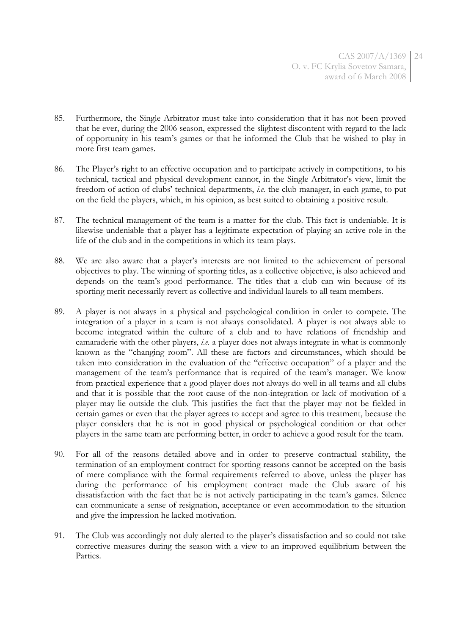- 85. Furthermore, the Single Arbitrator must take into consideration that it has not been proved that he ever, during the 2006 season, expressed the slightest discontent with regard to the lack of opportunity in his team's games or that he informed the Club that he wished to play in more first team games.
- 86. The Player's right to an effective occupation and to participate actively in competitions, to his technical, tactical and physical development cannot, in the Single Arbitrator's view, limit the freedom of action of clubs' technical departments, *i.e.* the club manager, in each game, to put on the field the players, which, in his opinion, as best suited to obtaining a positive result.
- 87. The technical management of the team is a matter for the club. This fact is undeniable. It is likewise undeniable that a player has a legitimate expectation of playing an active role in the life of the club and in the competitions in which its team plays.
- 88. We are also aware that a player's interests are not limited to the achievement of personal objectives to play. The winning of sporting titles, as a collective objective, is also achieved and depends on the team's good performance. The titles that a club can win because of its sporting merit necessarily revert as collective and individual laurels to all team members.
- 89. A player is not always in a physical and psychological condition in order to compete. The integration of a player in a team is not always consolidated. A player is not always able to become integrated within the culture of a club and to have relations of friendship and camaraderie with the other players, *i.e.* a player does not always integrate in what is commonly known as the "changing room". All these are factors and circumstances, which should be taken into consideration in the evaluation of the "effective occupation" of a player and the management of the team's performance that is required of the team's manager. We know from practical experience that a good player does not always do well in all teams and all clubs and that it is possible that the root cause of the non-integration or lack of motivation of a player may lie outside the club. This justifies the fact that the player may not be fielded in certain games or even that the player agrees to accept and agree to this treatment, because the player considers that he is not in good physical or psychological condition or that other players in the same team are performing better, in order to achieve a good result for the team.
- 90. For all of the reasons detailed above and in order to preserve contractual stability, the termination of an employment contract for sporting reasons cannot be accepted on the basis of mere compliance with the formal requirements referred to above, unless the player has during the performance of his employment contract made the Club aware of his dissatisfaction with the fact that he is not actively participating in the team's games. Silence can communicate a sense of resignation, acceptance or even accommodation to the situation and give the impression he lacked motivation.
- 91. The Club was accordingly not duly alerted to the player's dissatisfaction and so could not take corrective measures during the season with a view to an improved equilibrium between the Parties.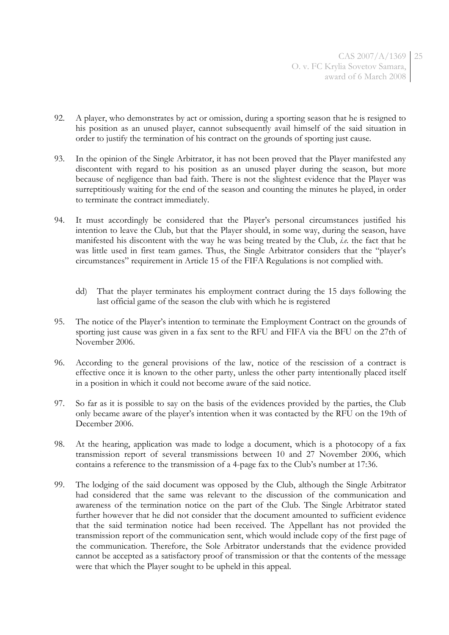CAS 2007/A/1369 25 O. v. FC Krylia Sovetov Samara, award of 6 March 2008

- 92. A player, who demonstrates by act or omission, during a sporting season that he is resigned to his position as an unused player, cannot subsequently avail himself of the said situation in order to justify the termination of his contract on the grounds of sporting just cause.
- 93. In the opinion of the Single Arbitrator, it has not been proved that the Player manifested any discontent with regard to his position as an unused player during the season, but more because of negligence than bad faith. There is not the slightest evidence that the Player was surreptitiously waiting for the end of the season and counting the minutes he played, in order to terminate the contract immediately.
- 94. It must accordingly be considered that the Player's personal circumstances justified his intention to leave the Club, but that the Player should, in some way, during the season, have manifested his discontent with the way he was being treated by the Club, *i.e.* the fact that he was little used in first team games. Thus, the Single Arbitrator considers that the "player's circumstances" requirement in Article 15 of the FIFA Regulations is not complied with.
	- dd) That the player terminates his employment contract during the 15 days following the last official game of the season the club with which he is registered
- 95. The notice of the Player's intention to terminate the Employment Contract on the grounds of sporting just cause was given in a fax sent to the RFU and FIFA via the BFU on the 27th of November 2006.
- 96. According to the general provisions of the law, notice of the rescission of a contract is effective once it is known to the other party, unless the other party intentionally placed itself in a position in which it could not become aware of the said notice.
- 97. So far as it is possible to say on the basis of the evidences provided by the parties, the Club only became aware of the player's intention when it was contacted by the RFU on the 19th of December 2006.
- 98. At the hearing, application was made to lodge a document, which is a photocopy of a fax transmission report of several transmissions between 10 and 27 November 2006, which contains a reference to the transmission of a 4-page fax to the Club's number at 17:36.
- 99. The lodging of the said document was opposed by the Club, although the Single Arbitrator had considered that the same was relevant to the discussion of the communication and awareness of the termination notice on the part of the Club. The Single Arbitrator stated further however that he did not consider that the document amounted to sufficient evidence that the said termination notice had been received. The Appellant has not provided the transmission report of the communication sent, which would include copy of the first page of the communication. Therefore, the Sole Arbitrator understands that the evidence provided cannot be accepted as a satisfactory proof of transmission or that the contents of the message were that which the Player sought to be upheld in this appeal.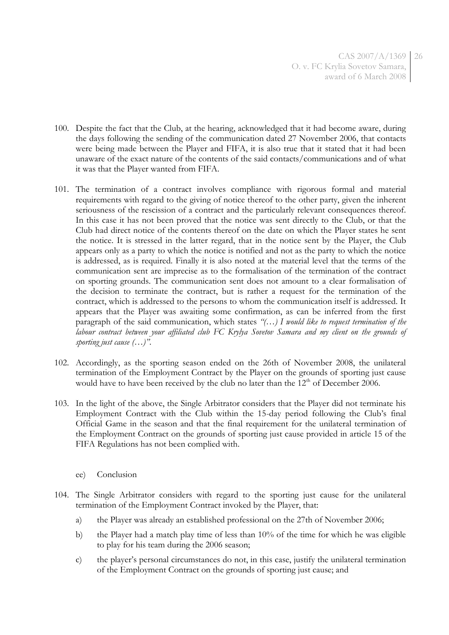CAS 2007/A/1369 26 O. v. FC Krylia Sovetov Samara, award of 6 March 2008

- 100. Despite the fact that the Club, at the hearing, acknowledged that it had become aware, during the days following the sending of the communication dated 27 November 2006, that contacts were being made between the Player and FIFA, it is also true that it stated that it had been unaware of the exact nature of the contents of the said contacts/communications and of what it was that the Player wanted from FIFA.
- 101. The termination of a contract involves compliance with rigorous formal and material requirements with regard to the giving of notice thereof to the other party, given the inherent seriousness of the rescission of a contract and the particularly relevant consequences thereof. In this case it has not been proved that the notice was sent directly to the Club, or that the Club had direct notice of the contents thereof on the date on which the Player states he sent the notice. It is stressed in the latter regard, that in the notice sent by the Player, the Club appears only as a party to which the notice is notified and not as the party to which the notice is addressed, as is required. Finally it is also noted at the material level that the terms of the communication sent are imprecise as to the formalisation of the termination of the contract on sporting grounds. The communication sent does not amount to a clear formalisation of the decision to terminate the contract, but is rather a request for the termination of the contract, which is addressed to the persons to whom the communication itself is addressed. It appears that the Player was awaiting some confirmation, as can be inferred from the first paragraph of the said communication, which states *"(…) I would like to request termination of the labour contract between your affiliated club FC Krylya Sovetov Samara and my client on the grounds of sporting just cause (…)"*.
- 102. Accordingly, as the sporting season ended on the 26th of November 2008, the unilateral termination of the Employment Contract by the Player on the grounds of sporting just cause would have to have been received by the club no later than the  $12<sup>th</sup>$  of December 2006.
- 103. In the light of the above, the Single Arbitrator considers that the Player did not terminate his Employment Contract with the Club within the 15-day period following the Club's final Official Game in the season and that the final requirement for the unilateral termination of the Employment Contract on the grounds of sporting just cause provided in article 15 of the FIFA Regulations has not been complied with.
	- ee) Conclusion
- 104. The Single Arbitrator considers with regard to the sporting just cause for the unilateral termination of the Employment Contract invoked by the Player, that:
	- a) the Player was already an established professional on the 27th of November 2006;
	- b) the Player had a match play time of less than 10% of the time for which he was eligible to play for his team during the 2006 season;
	- c) the player's personal circumstances do not, in this case, justify the unilateral termination of the Employment Contract on the grounds of sporting just cause; and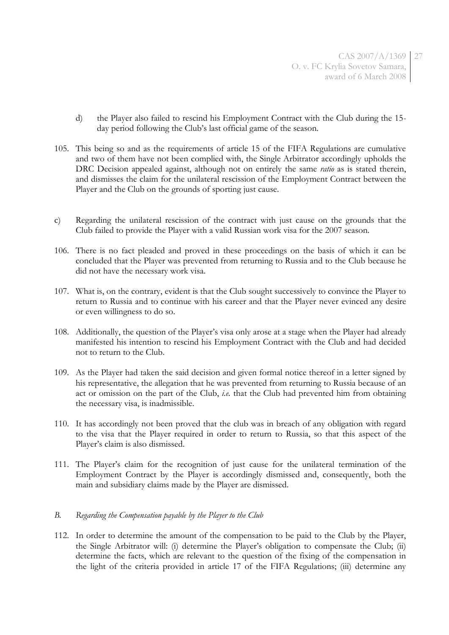- d) the Player also failed to rescind his Employment Contract with the Club during the 15 day period following the Club's last official game of the season.
- 105. This being so and as the requirements of article 15 of the FIFA Regulations are cumulative and two of them have not been complied with, the Single Arbitrator accordingly upholds the DRC Decision appealed against, although not on entirely the same *ratio* as is stated therein, and dismisses the claim for the unilateral rescission of the Employment Contract between the Player and the Club on the grounds of sporting just cause.
- c) Regarding the unilateral rescission of the contract with just cause on the grounds that the Club failed to provide the Player with a valid Russian work visa for the 2007 season.
- 106. There is no fact pleaded and proved in these proceedings on the basis of which it can be concluded that the Player was prevented from returning to Russia and to the Club because he did not have the necessary work visa.
- 107. What is, on the contrary, evident is that the Club sought successively to convince the Player to return to Russia and to continue with his career and that the Player never evinced any desire or even willingness to do so.
- 108. Additionally, the question of the Player's visa only arose at a stage when the Player had already manifested his intention to rescind his Employment Contract with the Club and had decided not to return to the Club.
- 109. As the Player had taken the said decision and given formal notice thereof in a letter signed by his representative, the allegation that he was prevented from returning to Russia because of an act or omission on the part of the Club, *i.e.* that the Club had prevented him from obtaining the necessary visa, is inadmissible.
- 110. It has accordingly not been proved that the club was in breach of any obligation with regard to the visa that the Player required in order to return to Russia, so that this aspect of the Player's claim is also dismissed.
- 111. The Player's claim for the recognition of just cause for the unilateral termination of the Employment Contract by the Player is accordingly dismissed and, consequently, both the main and subsidiary claims made by the Player are dismissed.

## *B. Regarding the Compensation payable by the Player to the Club*

112. In order to determine the amount of the compensation to be paid to the Club by the Player, the Single Arbitrator will: (i) determine the Player's obligation to compensate the Club; (ii) determine the facts, which are relevant to the question of the fixing of the compensation in the light of the criteria provided in article 17 of the FIFA Regulations; (iii) determine any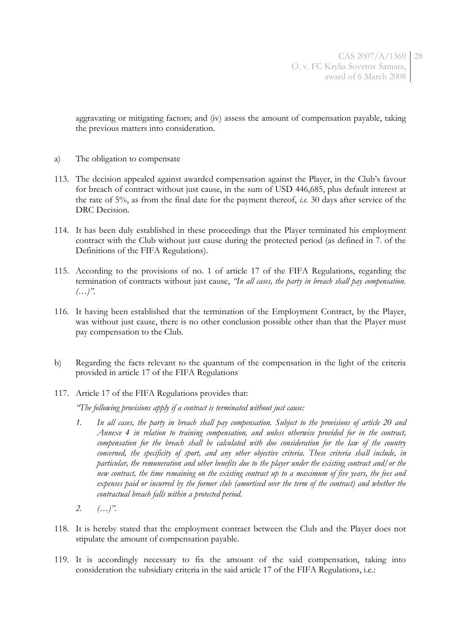CAS 2007/A/1369 28 O. v. FC Krylia Sovetov Samara, award of 6 March 2008

aggravating or mitigating factors; and (iv) assess the amount of compensation payable, taking the previous matters into consideration.

- a) The obligation to compensate
- 113. The decision appealed against awarded compensation against the Player, in the Club's favour for breach of contract without just cause, in the sum of USD 446,685, plus default interest at the rate of 5%, as from the final date for the payment thereof, *i.e.* 30 days after service of the DRC Decision.
- 114. It has been duly established in these proceedings that the Player terminated his employment contract with the Club without just cause during the protected period (as defined in 7. of the Definitions of the FIFA Regulations).
- 115. According to the provisions of no. 1 of article 17 of the FIFA Regulations, regarding the termination of contracts without just cause, *"In all cases, the party in breach shall pay compensation. (…)"*.
- 116. It having been established that the termination of the Employment Contract, by the Player, was without just cause, there is no other conclusion possible other than that the Player must pay compensation to the Club.
- b) Regarding the facts relevant to the quantum of the compensation in the light of the criteria provided in article 17 of the FIFA Regulations
- 117. Article 17 of the FIFA Regulations provides that:

*"The following provisions apply if a contract is terminated without just cause:*

- *1. In all cases, the party in breach shall pay compensation. Subject to the provisions of article 20 and Annexe 4 in relation to training compensation, and unless otherwise provided for in the contract, compensation for the breach shall be calculated with due consideration for the law of the country*  concerned, the specificity of sport, and any other objective criteria. These criteria shall include, in *particular, the remuneration and other benefits due to the player under the existing contract and/or the new contract, the time remaining on the existing contract up to a maximum of five years, the fees and*  expenses paid or incurred by the former club (amortised over the term of the contract) and whether the *contractual breach falls within a protected period.*
- *2. (…)".*
- 118. It is hereby stated that the employment contract between the Club and the Player does not stipulate the amount of compensation payable.
- 119. It is accordingly necessary to fix the amount of the said compensation, taking into consideration the subsidiary criteria in the said article 17 of the FIFA Regulations, i.e.: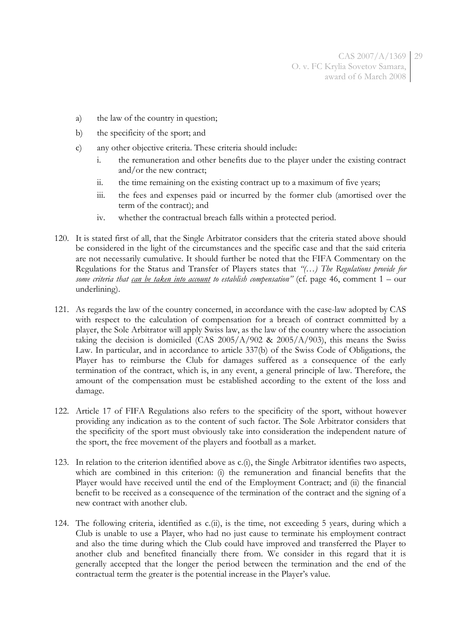- a) the law of the country in question;
- b) the specificity of the sport; and
- c) any other objective criteria. These criteria should include:
	- i. the remuneration and other benefits due to the player under the existing contract and/or the new contract;
	- ii. the time remaining on the existing contract up to a maximum of five years;
	- iii. the fees and expenses paid or incurred by the former club (amortised over the term of the contract); and
	- iv. whether the contractual breach falls within a protected period.
- 120. It is stated first of all, that the Single Arbitrator considers that the criteria stated above should be considered in the light of the circumstances and the specific case and that the said criteria are not necessarily cumulative. It should further be noted that the FIFA Commentary on the Regulations for the Status and Transfer of Players states that *"(…) The Regulations provide for some criteria that can be taken into account to establish compensation"* (cf. page 46, comment 1 – our underlining).
- 121. As regards the law of the country concerned, in accordance with the case-law adopted by CAS with respect to the calculation of compensation for a breach of contract committed by a player, the Sole Arbitrator will apply Swiss law, as the law of the country where the association taking the decision is domiciled  $(CAS 2005/A/902 \& 2005/A/903)$ , this means the Swiss Law. In particular, and in accordance to article 337(b) of the Swiss Code of Obligations, the Player has to reimburse the Club for damages suffered as a consequence of the early termination of the contract, which is, in any event, a general principle of law. Therefore, the amount of the compensation must be established according to the extent of the loss and damage.
- 122. Article 17 of FIFA Regulations also refers to the specificity of the sport, without however providing any indication as to the content of such factor. The Sole Arbitrator considers that the specificity of the sport must obviously take into consideration the independent nature of the sport, the free movement of the players and football as a market.
- 123. In relation to the criterion identified above as c.(i), the Single Arbitrator identifies two aspects, which are combined in this criterion: (i) the remuneration and financial benefits that the Player would have received until the end of the Employment Contract; and (ii) the financial benefit to be received as a consequence of the termination of the contract and the signing of a new contract with another club.
- 124. The following criteria, identified as c.(ii), is the time, not exceeding 5 years, during which a Club is unable to use a Player, who had no just cause to terminate his employment contract and also the time during which the Club could have improved and transferred the Player to another club and benefited financially there from. We consider in this regard that it is generally accepted that the longer the period between the termination and the end of the contractual term the greater is the potential increase in the Player's value.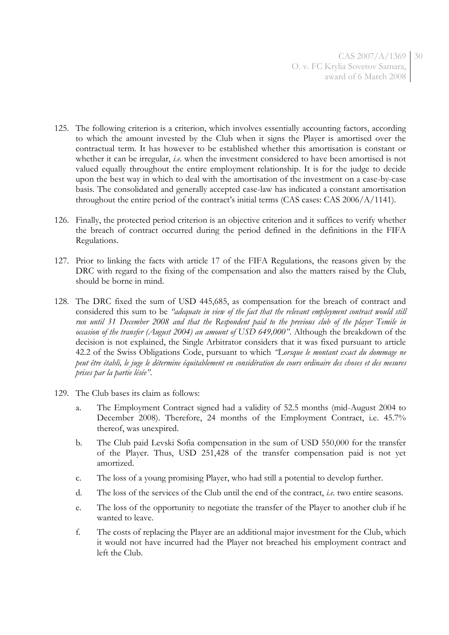- 125. The following criterion is a criterion, which involves essentially accounting factors, according to which the amount invested by the Club when it signs the Player is amortised over the contractual term. It has however to be established whether this amortisation is constant or whether it can be irregular, *i.e*. when the investment considered to have been amortised is not valued equally throughout the entire employment relationship. It is for the judge to decide upon the best way in which to deal with the amortisation of the investment on a case-by-case basis. The consolidated and generally accepted case-law has indicated a constant amortisation throughout the entire period of the contract's initial terms (CAS cases: CAS 2006/A/1141).
- 126. Finally, the protected period criterion is an objective criterion and it suffices to verify whether the breach of contract occurred during the period defined in the definitions in the FIFA Regulations.
- 127. Prior to linking the facts with article 17 of the FIFA Regulations, the reasons given by the DRC with regard to the fixing of the compensation and also the matters raised by the Club, should be borne in mind.
- 128. The DRC fixed the sum of USD 445,685, as compensation for the breach of contract and considered this sum to be *"adequate in view of the fact that the relevant employment contract would still run until 31 December 2008 and that the Respondent paid to the previous club of the player Temile in occasion of the transfer (August 2004) an amount of USD 649,000"*. Although the breakdown of the decision is not explained, the Single Arbitrator considers that it was fixed pursuant to article 42.2 of the Swiss Obligations Code, pursuant to which *"Lorsque le montant exact du dommage ne peut être établi, le juge le détermine équitablement en considération du cours ordinaire des choses et des mesures prises par la partie lésée"*.
- 129. The Club bases its claim as follows:
	- a. The Employment Contract signed had a validity of 52.5 months (mid-August 2004 to December 2008). Therefore, 24 months of the Employment Contract, i.e. 45.7% thereof, was unexpired.
	- b. The Club paid Levski Sofia compensation in the sum of USD 550,000 for the transfer of the Player. Thus, USD 251,428 of the transfer compensation paid is not yet amortized.
	- c. The loss of a young promising Player, who had still a potential to develop further.
	- d. The loss of the services of the Club until the end of the contract, *i.e.* two entire seasons.
	- e. The loss of the opportunity to negotiate the transfer of the Player to another club if he wanted to leave.
	- f. The costs of replacing the Player are an additional major investment for the Club, which it would not have incurred had the Player not breached his employment contract and left the Club.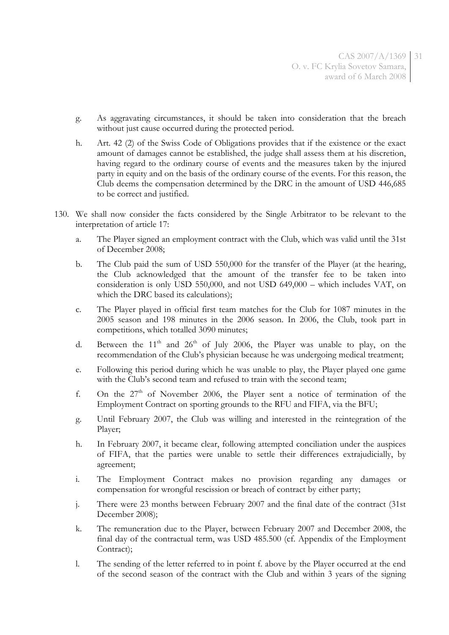- g. As aggravating circumstances, it should be taken into consideration that the breach without just cause occurred during the protected period.
- h. Art. 42 (2) of the Swiss Code of Obligations provides that if the existence or the exact amount of damages cannot be established, the judge shall assess them at his discretion, having regard to the ordinary course of events and the measures taken by the injured party in equity and on the basis of the ordinary course of the events. For this reason, the Club deems the compensation determined by the DRC in the amount of USD 446,685 to be correct and justified.
- 130. We shall now consider the facts considered by the Single Arbitrator to be relevant to the interpretation of article 17:
	- a. The Player signed an employment contract with the Club, which was valid until the 31st of December 2008;
	- b. The Club paid the sum of USD 550,000 for the transfer of the Player (at the hearing, the Club acknowledged that the amount of the transfer fee to be taken into consideration is only USD 550,000, and not USD 649,000 – which includes VAT, on which the DRC based its calculations);
	- c. The Player played in official first team matches for the Club for 1087 minutes in the 2005 season and 198 minutes in the 2006 season. In 2006, the Club, took part in competitions, which totalled 3090 minutes;
	- d. Between the  $11<sup>th</sup>$  and  $26<sup>th</sup>$  of July 2006, the Player was unable to play, on the recommendation of the Club's physician because he was undergoing medical treatment;
	- e. Following this period during which he was unable to play, the Player played one game with the Club's second team and refused to train with the second team;
	- f. On the  $27<sup>th</sup>$  of November 2006, the Player sent a notice of termination of the Employment Contract on sporting grounds to the RFU and FIFA, via the BFU;
	- g. Until February 2007, the Club was willing and interested in the reintegration of the Player;
	- h. In February 2007, it became clear, following attempted conciliation under the auspices of FIFA, that the parties were unable to settle their differences extrajudicially, by agreement;
	- i. The Employment Contract makes no provision regarding any damages or compensation for wrongful rescission or breach of contract by either party;
	- j. There were 23 months between February 2007 and the final date of the contract (31st December 2008);
	- k. The remuneration due to the Player, between February 2007 and December 2008, the final day of the contractual term, was USD 485.500 (cf. Appendix of the Employment Contract);
	- l. The sending of the letter referred to in point f. above by the Player occurred at the end of the second season of the contract with the Club and within 3 years of the signing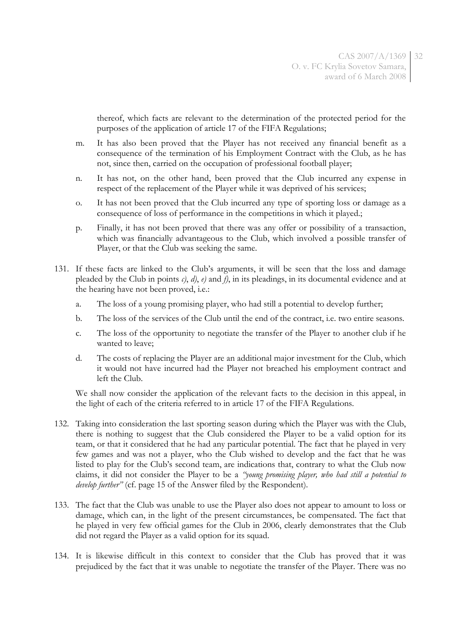thereof, which facts are relevant to the determination of the protected period for the purposes of the application of article 17 of the FIFA Regulations;

- m. It has also been proved that the Player has not received any financial benefit as a consequence of the termination of his Employment Contract with the Club, as he has not, since then, carried on the occupation of professional football player;
- n. It has not, on the other hand, been proved that the Club incurred any expense in respect of the replacement of the Player while it was deprived of his services;
- o. It has not been proved that the Club incurred any type of sporting loss or damage as a consequence of loss of performance in the competitions in which it played.;
- p. Finally, it has not been proved that there was any offer or possibility of a transaction, which was financially advantageous to the Club, which involved a possible transfer of Player, or that the Club was seeking the same.
- 131. If these facts are linked to the Club's arguments, it will be seen that the loss and damage pleaded by the Club in points  $c$ ,  $d$ ,  $e$ ) and  $\bar{f}$ , in its pleadings, in its documental evidence and at the hearing have not been proved, i.e.:
	- a. The loss of a young promising player, who had still a potential to develop further;
	- b. The loss of the services of the Club until the end of the contract, i.e. two entire seasons.
	- c. The loss of the opportunity to negotiate the transfer of the Player to another club if he wanted to leave;
	- d. The costs of replacing the Player are an additional major investment for the Club, which it would not have incurred had the Player not breached his employment contract and left the Club.

We shall now consider the application of the relevant facts to the decision in this appeal, in the light of each of the criteria referred to in article 17 of the FIFA Regulations.

- 132. Taking into consideration the last sporting season during which the Player was with the Club, there is nothing to suggest that the Club considered the Player to be a valid option for its team, or that it considered that he had any particular potential. The fact that he played in very few games and was not a player, who the Club wished to develop and the fact that he was listed to play for the Club's second team, are indications that, contrary to what the Club now claims, it did not consider the Player to be a *"young promising player, who had still a potential to develop further"* (cf. page 15 of the Answer filed by the Respondent).
- 133. The fact that the Club was unable to use the Player also does not appear to amount to loss or damage, which can, in the light of the present circumstances, be compensated. The fact that he played in very few official games for the Club in 2006, clearly demonstrates that the Club did not regard the Player as a valid option for its squad.
- 134. It is likewise difficult in this context to consider that the Club has proved that it was prejudiced by the fact that it was unable to negotiate the transfer of the Player. There was no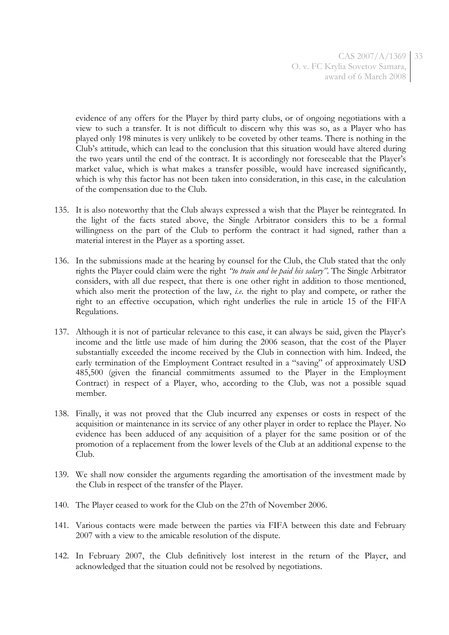evidence of any offers for the Player by third party clubs, or of ongoing negotiations with a view to such a transfer. It is not difficult to discern why this was so, as a Player who has played only 198 minutes is very unlikely to be coveted by other teams. There is nothing in the Club's attitude, which can lead to the conclusion that this situation would have altered during the two years until the end of the contract. It is accordingly not foreseeable that the Player's market value, which is what makes a transfer possible, would have increased significantly, which is why this factor has not been taken into consideration, in this case, in the calculation of the compensation due to the Club.

- 135. It is also noteworthy that the Club always expressed a wish that the Player be reintegrated. In the light of the facts stated above, the Single Arbitrator considers this to be a formal willingness on the part of the Club to perform the contract it had signed, rather than a material interest in the Player as a sporting asset.
- 136. In the submissions made at the hearing by counsel for the Club, the Club stated that the only rights the Player could claim were the right *"to train and be paid his salary"*. The Single Arbitrator considers, with all due respect, that there is one other right in addition to those mentioned, which also merit the protection of the law, *i.e*. the right to play and compete, or rather the right to an effective occupation, which right underlies the rule in article 15 of the FIFA Regulations.
- 137. Although it is not of particular relevance to this case, it can always be said, given the Player's income and the little use made of him during the 2006 season, that the cost of the Player substantially exceeded the income received by the Club in connection with him. Indeed, the early termination of the Employment Contract resulted in a "saving" of approximately USD 485,500 (given the financial commitments assumed to the Player in the Employment Contract) in respect of a Player, who, according to the Club, was not a possible squad member.
- 138. Finally, it was not proved that the Club incurred any expenses or costs in respect of the acquisition or maintenance in its service of any other player in order to replace the Player. No evidence has been adduced of any acquisition of a player for the same position or of the promotion of a replacement from the lower levels of the Club at an additional expense to the Club.
- 139. We shall now consider the arguments regarding the amortisation of the investment made by the Club in respect of the transfer of the Player.
- 140. The Player ceased to work for the Club on the 27th of November 2006.
- 141. Various contacts were made between the parties via FIFA between this date and February 2007 with a view to the amicable resolution of the dispute.
- 142. In February 2007, the Club definitively lost interest in the return of the Player, and acknowledged that the situation could not be resolved by negotiations.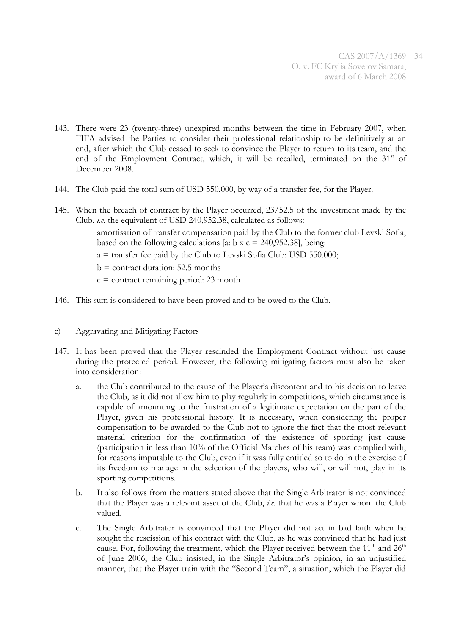- 143. There were 23 (twenty-three) unexpired months between the time in February 2007, when FIFA advised the Parties to consider their professional relationship to be definitively at an end, after which the Club ceased to seek to convince the Player to return to its team, and the end of the Employment Contract, which, it will be recalled, terminated on the  $31<sup>st</sup>$  of December 2008.
- 144. The Club paid the total sum of USD 550,000, by way of a transfer fee, for the Player.
- 145. When the breach of contract by the Player occurred, 23/52.5 of the investment made by the Club, *i.e.* the equivalent of USD 240,952.38, calculated as follows:
	- amortisation of transfer compensation paid by the Club to the former club Levski Sofia, based on the following calculations [a: b x c = 240,952.38], being:
	- $a =$  transfer fee paid by the Club to Levski Sofia Club: USD 550.000;
	- $b =$  contract duration: 52.5 months
	- $c =$  contract remaining period: 23 month
- 146. This sum is considered to have been proved and to be owed to the Club.
- c) Aggravating and Mitigating Factors
- 147. It has been proved that the Player rescinded the Employment Contract without just cause during the protected period. However, the following mitigating factors must also be taken into consideration:
	- a. the Club contributed to the cause of the Player's discontent and to his decision to leave the Club, as it did not allow him to play regularly in competitions, which circumstance is capable of amounting to the frustration of a legitimate expectation on the part of the Player, given his professional history. It is necessary, when considering the proper compensation to be awarded to the Club not to ignore the fact that the most relevant material criterion for the confirmation of the existence of sporting just cause (participation in less than 10% of the Official Matches of his team) was complied with, for reasons imputable to the Club, even if it was fully entitled so to do in the exercise of its freedom to manage in the selection of the players, who will, or will not, play in its sporting competitions.
	- b. It also follows from the matters stated above that the Single Arbitrator is not convinced that the Player was a relevant asset of the Club, *i.e.* that he was a Player whom the Club valued.
	- c. The Single Arbitrator is convinced that the Player did not act in bad faith when he sought the rescission of his contract with the Club, as he was convinced that he had just cause. For, following the treatment, which the Player received between the  $11<sup>th</sup>$  and  $26<sup>th</sup>$ of June 2006, the Club insisted, in the Single Arbitrator's opinion, in an unjustified manner, that the Player train with the "Second Team", a situation, which the Player did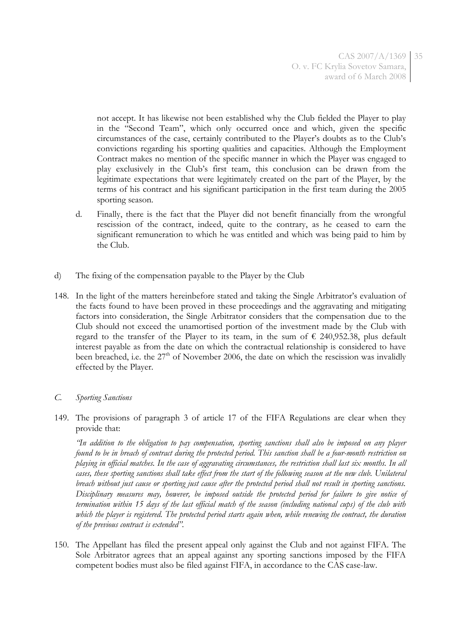not accept. It has likewise not been established why the Club fielded the Player to play in the "Second Team", which only occurred once and which, given the specific circumstances of the case, certainly contributed to the Player's doubts as to the Club's convictions regarding his sporting qualities and capacities. Although the Employment Contract makes no mention of the specific manner in which the Player was engaged to play exclusively in the Club's first team, this conclusion can be drawn from the legitimate expectations that were legitimately created on the part of the Player, by the terms of his contract and his significant participation in the first team during the 2005 sporting season.

- d. Finally, there is the fact that the Player did not benefit financially from the wrongful rescission of the contract, indeed, quite to the contrary, as he ceased to earn the significant remuneration to which he was entitled and which was being paid to him by the Club.
- d) The fixing of the compensation payable to the Player by the Club
- 148. In the light of the matters hereinbefore stated and taking the Single Arbitrator's evaluation of the facts found to have been proved in these proceedings and the aggravating and mitigating factors into consideration, the Single Arbitrator considers that the compensation due to the Club should not exceed the unamortised portion of the investment made by the Club with regard to the transfer of the Player to its team, in the sum of  $\epsilon$  240,952.38, plus default interest payable as from the date on which the contractual relationship is considered to have been breached, i.e. the  $27<sup>th</sup>$  of November 2006, the date on which the rescission was invalidly effected by the Player.
- *C. Sporting Sanctions*
- 149. The provisions of paragraph 3 of article 17 of the FIFA Regulations are clear when they provide that:

*"In addition to the obligation to pay compensation, sporting sanctions shall also be imposed on any player found to be in breach of contract during the protected period. This sanction shall be a four-month restriction on playing in official matches. In the case of aggravating circumstances, the restriction shall last six months. In all cases, these sporting sanctions shall take effect from the start of the following season at the new club. Unilateral breach without just cause or sporting just cause after the protected period shall not result in sporting sanctions. Disciplinary measures may, however, be imposed outside the protected period for failure to give notice of termination within 15 days of the last official match of the season (including national cups) of the club with which the player is registered. The protected period starts again when, while renewing the contract, the duration of the previous contract is extended".*

150. The Appellant has filed the present appeal only against the Club and not against FIFA. The Sole Arbitrator agrees that an appeal against any sporting sanctions imposed by the FIFA competent bodies must also be filed against FIFA, in accordance to the CAS case-law.